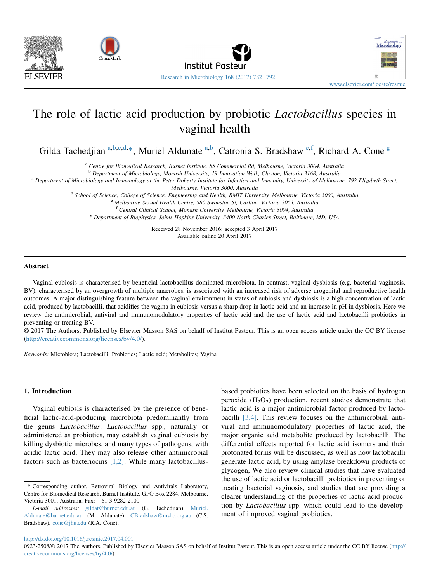



# The role of lactic acid production by probiotic Lactobacillus species in vaginal health

Gilda Tachedjian <sup>a,b,c,d,\*</sup>, Muriel Aldunate <sup>a,b</sup>, Catronia S. Bradshaw<sup>e,f</sup>, Richard A. Cone<sup>g</sup>

<sup>a</sup> Centre for Biomedical Research, Burnet Institute, 85 Commercial Rd, Melbourne, Victoria 3004, Australia

<sup>b</sup> Department of Microbiology, Monash University, 19 Innovation Walk, Clayton, Victoria 3168, Australia

 $c$  Department of Microbiology and Immunology at the Peter Doherty Institute for Infection and Immunity, University of Melbourne, 792 Elizabeth Street,

Melbourne, Victoria 3000, Australia

<sup>d</sup> School of Science, College of Science, Engineering and Health, RMIT University, Melbourne, Victoria 3000, Australia

<sup>e</sup> Melbourne Sexual Health Centre, 580 Swanston St, Carlton, Victoria 3053, Australia

<sup>f</sup> Central Clinical School, Monash University, Melbourne, Victoria 3004, Australia

<sup>g</sup> Department of Biophysics, Johns Hopkins University, 3400 North Charles Street, Baltimore, MD, USA

Received 28 November 2016; accepted 3 April 2017 Available online 20 April 2017

#### Abstract

Vaginal eubiosis is characterised by beneficial lactobacillus-dominated microbiota. In contrast, vaginal dysbiosis (e.g. bacterial vaginosis, BV), characterised by an overgrowth of multiple anaerobes, is associated with an increased risk of adverse urogenital and reproductive health outcomes. A major distinguishing feature between the vaginal environment in states of eubiosis and dysbiosis is a high concentration of lactic acid, produced by lactobacilli, that acidifies the vagina in eubiosis versus a sharp drop in lactic acid and an increase in pH in dysbiosis. Here we review the antimicrobial, antiviral and immunomodulatory properties of lactic acid and the use of lactic acid and lactobacilli probiotics in preventing or treating BV.

© 2017 The Authors. Published by Elsevier Masson SAS on behalf of Institut Pasteur. This is an open access article under the CC BY license (<http://creativecommons.org/licenses/by/4.0/>).

Keywords: Microbiota; Lactobacilli; Probiotics; Lactic acid; Metabolites; Vagina

# 1. Introduction

Vaginal eubiosis is characterised by the presence of beneficial lactic-acid-producing microbiota predominantly from the genus Lactobacillus. Lactobacillus spp., naturally or administered as probiotics, may establish vaginal eubiosis by killing dysbiotic microbes, and many types of pathogens, with acidic lactic acid. They may also release other antimicrobial factors such as bacteriocins  $[1,2]$ . While many lactobacillusbased probiotics have been selected on the basis of hydrogen peroxide  $(H_2O_2)$  production, recent studies demonstrate that lactic acid is a major antimicrobial factor produced by lactobacilli [\[3,4\]](#page-7-0). This review focuses on the antimicrobial, antiviral and immunomodulatory properties of lactic acid, the major organic acid metabolite produced by lactobacilli. The differential effects reported for lactic acid isomers and their protonated forms will be discussed, as well as how lactobacilli generate lactic acid, by using amylase breakdown products of glycogen, We also review clinical studies that have evaluated the use of lactic acid or lactobacilli probiotics in preventing or treating bacterial vaginosis, and studies that are providing a clearer understanding of the properties of lactic acid production by Lactobacillus spp. which could lead to the development of improved vaginal probiotics.

<http://dx.doi.org/10.1016/j.resmic.2017.04.001>

<sup>\*</sup> Corresponding author. Retroviral Biology and Antivirals Laboratory, Centre for Biomedical Research, Burnet Institute, GPO Box 2284, Melbourne, Victoria 3001, Australia. Fax: +61 3 9282 2100.

E-mail addresses: [gildat@burnet.edu.au](mailto:gildat@burnet.edu.au) (G. Tachedjian), [Muriel.](mailto:Muriel.Aldunate@burnet.edu.au) [Aldunate@burnet.edu.au](mailto:Muriel.Aldunate@burnet.edu.au) (M. Aldunate), [CBradshaw@mshc.org.au](mailto:CBradshaw@mshc.org.au) (C.S. Bradshaw), [cone@jhu.edu](mailto:cone@jhu.edu) (R.A. Cone).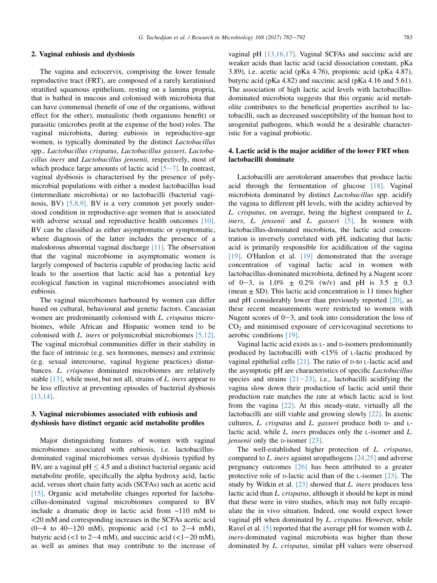## 2. Vaginal eubiosis and dysbiosis

The vagina and ectocervix, comprising the lower female reproductive tract (FRT), are composed of a rarely keratinised stratified squamous epithelium, resting on a lamina propria, that is bathed in mucous and colonised with microbiota that can have commensal (benefit of one of the organisms, without effect for the other), mutualistic (both organisms benefit) or parasitic (microbes profit at the expense of the host) roles. The vaginal microbiota, during eubiosis in reproductive-age women, is typically dominated by the distinct Lactobacillus spp., Lactobacillus crispatus, Lactobacillus gasseri, Lactobacillus iners and Lactobacillus jensenii, respectively, most of which produce large amounts of lactic acid  $[5-7]$  $[5-7]$  $[5-7]$ . In contrast, vaginal dysbiosis is characterised by the presence of polymicrobial populations with either a modest lactobacillus load (intermediate microbiota) or no lactobacilli (bacterial vaginosis, BV) [\[5,8,9\]](#page-7-0). BV is a very common yet poorly understood condition in reproductive-age women that is associated with adverse sexual and reproductive health outcomes [\[10\]](#page-7-0). BV can be classified as either asymptomatic or symptomatic, where diagnosis of the latter includes the presence of a malodorous abnormal vaginal discharge [\[11\]](#page-7-0). The observation that the vaginal microbiome in asymptomatic women is largely composed of bacteria capable of producing lactic acid leads to the assertion that lactic acid has a potential key ecological function in vaginal microbiomes associated with eubiosis.

The vaginal microbiomes harboured by women can differ based on cultural, behavioural and genetic factors. Caucasian women are predominantly colonised with L. crispatus microbiomes, while African and Hispanic women tend to be colonised with L. iners or polymicrobial microbiomes [\[5,12\]](#page-7-0). The vaginal microbial communities differ in their stability in the face of intrinsic (e.g. sex hormones, menses) and extrinsic (e.g. sexual intercourse, vaginal hygiene practices) disturbances. L. crispatus dominated microbiomes are relatively stable  $[13]$ , while most, but not all, strains of L. iners appear to be less effective at preventing episodes of bacterial dysbiosis [\[13,14\].](#page-7-0)

# 3. Vaginal microbiomes associated with eubiosis and dysbiosis have distinct organic acid metabolite profiles

Major distinguishing features of women with vaginal microbiomes associated with eubiosis, i.e. lactobacillusdominated vaginal microbiomes versus dysbiosis typified by BV, are a vaginal pH  $\leq$  4.5 and a distinct bacterial organic acid metabolite profile, specifically the alpha hydroxy acid, lactic acid, versus short chain fatty acids (SCFAs) such as acetic acid [\[15\]](#page-7-0). Organic acid metabolite changes reported for lactobacillus-dominated vaginal microbiomes compared to BV include a dramatic drop in lactic acid from ~110 mM to <20 mM and corresponding increases in the SCFAs acetic acid  $(0-4$  to  $40-120$  mM), propionic acid (<1 to  $2-4$  mM), butyric acid (<1 to 2–4 mM), and succinic acid (<1–20 mM), as well as amines that may contribute to the increase of vaginal pH [\[13,16,17\]](#page-7-0). Vaginal SCFAs and succinic acid are weaker acids than lactic acid (acid dissociation constant, pKa 3.89), i.e. acetic acid (pKa 4.76), propionic acid (pKa 4.87), butyric acid (pKa 4.82) and succinic acid (pKa 4.16 and 5.61). The association of high lactic acid levels with lactobacillusdominated microbiota suggests that this organic acid metabolite contributes to the beneficial properties ascribed to lactobacilli, such as decreased susceptibility of the human host to urogenital pathogens, which would be a desirable characteristic for a vaginal probiotic.

# 4. Lactic acid is the major acidifier of the lower FRT when lactobacilli dominate

Lactobacilli are aerotolerant anaerobes that produce lactic acid through the fermentation of glucose [\[18\]](#page-7-0). Vaginal microbiota dominated by distinct Lactobacillus spp. acidify the vagina to different pH levels, with the acidity achieved by L. crispatus, on average, being the highest compared to L. iners, L. jensenii and L. gasseri [\[5\].](#page-7-0) In women with lactobacillus-dominated microbiota, the lactic acid concentration is inversely correlated with pH, indicating that lactic acid is primarily responsible for acidification of the vagina [\[19\]](#page-7-0). O'Hanlon et al. [\[19\]](#page-7-0) demonstrated that the average concentration of vaginal lactic acid in women with lactobacillus-dominated microbiota, defined by a Nugent score of 0-3, is  $1.0\% \pm 0.2\%$  (w/v) and pH is  $3.5 \pm 0.3$ (mean  $\pm$  SD). This lactic acid concentration is 11 times higher and pH considerably lower than previously reported  $[20]$ , as these recent measurements were restricted to women with Nugent scores of  $0-3$ , and took into consideration the loss of  $CO<sub>2</sub>$  and minimised exposure of cervicovaginal secretions to aerobic conditions [\[19\]](#page-7-0).

Vaginal lactic acid exists as L- and D-isomers predominantly produced by lactobacilli with  $\langle 15\% \rangle$  of L-lactic produced by vaginal epithelial cells [\[21\].](#page-7-0) The ratio of D-to L-lactic acid and the asymptotic pH are characteristics of specific Lactobacillus species and strains  $[21-23]$  $[21-23]$  $[21-23]$ , i.e., lactobacilli acidifying the vagina slow down their production of lactic acid until their production rate matches the rate at which lactic acid is lost from the vagina [\[22\].](#page-7-0) At this steady-state, virtually all the lactobacilli are still viable and growing slowly [\[22\].](#page-7-0) In axenic cultures, L. crispatus and L. gasseri produce both D- and Llactic acid, while L. iners produces only the L-isomer and L. jensenii only the D-isomer [\[23\]](#page-7-0).

The well-established higher protection of L. crispatus, compared to L. iners against uropathogens  $[24,25]$  and adverse pregnancy outcomes [\[26\]](#page-7-0) has been attributed to a greater protective role of D-lactic acid than of the L-isomer [\[23\]](#page-7-0). The study by Witkin et al.  $[23]$  showed that *L. iners* produces less lactic acid than L. crispatus, although it should be kept in mind that these were in vitro studies, which may not fully recapitulate the in vivo situation. Indeed, one would expect lower vaginal pH when dominated by L. crispatus. However, while Ravel et al. [\[5\]](#page-7-0) reported that the average pH for women with L. iners-dominated vaginal microbiota was higher than those dominated by L. crispatus, similar pH values were observed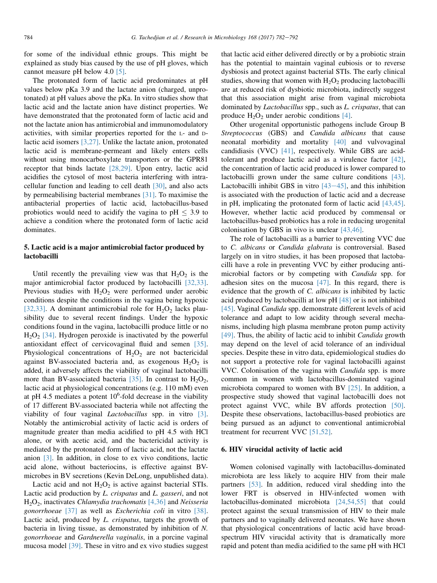for some of the individual ethnic groups. This might be explained as study bias caused by the use of pH gloves, which cannot measure pH below 4.0 [\[5\].](#page-7-0)

The protonated form of lactic acid predominates at pH values below pKa 3.9 and the lactate anion (charged, unprotonated) at pH values above the pKa. In vitro studies show that lactic acid and the lactate anion have distinct properties. We have demonstrated that the protonated form of lactic acid and not the lactate anion has antimicrobial and immunomodulatory activities, with similar properties reported for the L- and Dlactic acid isomers [\[3,27\].](#page-7-0) Unlike the lactate anion, protonated lactic acid is membrane-permeant and likely enters cells without using monocarboxylate transporters or the GPR81 receptor that binds lactate [\[28,29\].](#page-7-0) Upon entry, lactic acid acidifies the cytosol of most bacteria interfering with intracellular function and leading to cell death [\[30\],](#page-7-0) and also acts by permeabilising bacterial membranes [\[31\]](#page-7-0). To maximise the antibacterial properties of lactic acid, lactobacillus-based probiotics would need to acidify the vagina to  $pH \leq 3.9$  to achieve a condition where the protonated form of lactic acid dominates.

# 5. Lactic acid is a major antimicrobial factor produced by lactobacilli

Until recently the prevailing view was that  $H_2O_2$  is the major antimicrobial factor produced by lactobacilli [\[32,33\]](#page-7-0). Previous studies with  $H_2O_2$  were performed under aerobic conditions despite the conditions in the vagina being hypoxic [\[32,33\].](#page-7-0) A dominant antimicrobial role for  $H_2O_2$  lacks plausibility due to several recent findings. Under the hypoxic conditions found in the vagina, lactobacilli produce little or no  $H_2O_2$  [\[34\]](#page-7-0). Hydrogen peroxide is inactivated by the powerful antioxidant effect of cervicovaginal fluid and semen [\[35\]](#page-7-0). Physiological concentrations of  $H_2O_2$  are not bactericidal against BV-associated bacteria and, as exogenous  $H_2O_2$  is added, it adversely affects the viability of vaginal lactobacilli more than BV-associated bacteria [\[35\].](#page-7-0) In contrast to  $H_2O_2$ , lactic acid at physiological concentrations (e.g. 110 mM) even at pH 4.5 mediates a potent  $10^6$ -fold decrease in the viability of 17 different BV-associated bacteria while not affecting the viability of four vaginal Lactobacillus spp. in vitro [\[3\]](#page-7-0). Notably the antimicrobial activity of lactic acid is orders of magnitude greater than media acidified to pH 4.5 with HCl alone, or with acetic acid, and the bactericidal activity is mediated by the protonated form of lactic acid, not the lactate anion [\[3\].](#page-7-0) In addition, in close to ex vivo conditions, lactic acid alone, without bacteriocins, is effective against BVmicrobes in BV secretions (Kevin DeLong, unpublished data).

Lactic acid and not  $H_2O_2$  is active against bacterial STIs. Lactic acid production by L. crispatus and L. gasseri, and not  $H_2O_2$ , inactivates *Chlamydia trachomatis* [\[4,36\]](#page-7-0) and *Neisseria* gonorrhoeae [\[37\]](#page-8-0) as well as Escherichia coli in vitro [\[38\]](#page-8-0). Lactic acid, produced by L. crispatus, targets the growth of bacteria in living tissue, as demonstrated by inhibition of N. gonorrhoeae and Gardnerella vaginalis, in a porcine vaginal mucosa model [\[39\]](#page-8-0). These in vitro and ex vivo studies suggest that lactic acid either delivered directly or by a probiotic strain has the potential to maintain vaginal eubiosis or to reverse dysbiosis and protect against bacterial STIs. The early clinical studies, showing that women with  $H_2O_2$  producing lactobacilli are at reduced risk of dysbiotic microbiota, indirectly suggest that this association might arise from vaginal microbiota dominated by *Lactobacillus* spp., such as *L. crispatus*, that can produce  $H_2O_2$  under aerobic conditions [\[4\].](#page-7-0)

Other urogenital opportunistic pathogens include Group B Streptococcus (GBS) and Candida albicans that cause neonatal morbidity and mortality [\[40\]](#page-8-0) and vulvovaginal candidiasis (VVC) [\[41\]](#page-8-0), respectively. While GBS are acidtolerant and produce lactic acid as a virulence factor [\[42\]](#page-8-0), the concentration of lactic acid produced is lower compared to lactobacilli grown under the same culture conditions [\[43\]](#page-8-0). Lactobacilli inhibit GBS in vitro  $[43-45]$  $[43-45]$  $[43-45]$ , and this inhibition is associated with the production of lactic acid and a decrease in pH, implicating the protonated form of lactic acid [\[43,45\]](#page-8-0). However, whether lactic acid produced by commensal or lactobacillus-based probiotics has a role in reducing urogenital colonisation by GBS in vivo is unclear [\[43,46\].](#page-8-0)

The role of lactobacilli as a barrier to preventing VVC due to C. albicans or Candida glabrata is controversial. Based largely on in vitro studies, it has been proposed that lactobacilli have a role in preventing VVC by either producing antimicrobial factors or by competing with Candida spp. for adhesion sites on the mucosa  $[47]$ . In this regard, there is evidence that the growth of C. albicans is inhibited by lactic acid produced by lactobacilli at low pH [\[48\]](#page-8-0) or is not inhibited [\[45\]](#page-8-0). Vaginal *Candida* spp. demonstrate different levels of acid tolerance and adapt to low acidity through several mechanisms, including high plasma membrane proton pump activity [\[49\]](#page-8-0). Thus, the ability of lactic acid to inhibit Candida growth may depend on the level of acid tolerance of an individual species. Despite these in vitro data, epidemiological studies do not support a protective role for vaginal lactobacilli against VVC. Colonisation of the vagina with Candida spp. is more common in women with lactobacillus-dominated vaginal microbiota compared to women with BV [\[25\]](#page-7-0). In addition, a prospective study showed that vaginal lactobacilli does not protect against VVC, while BV affords protection [\[50\]](#page-8-0). Despite these observations, lactobacillus-based probiotics are being pursued as an adjunct to conventional antimicrobial treatment for recurrent VVC [\[51,52\].](#page-8-0)

## 6. HIV virucidal activity of lactic acid

Women colonised vaginally with lactobacillus-dominated microbiota are less likely to acquire HIV from their male partners [\[53\].](#page-8-0) In addition, reduced viral shedding into the lower FRT is observed in HIV-infected women with lactobacillus-dominated microbiota [\[24,54,55\]](#page-7-0) that could protect against the sexual transmission of HIV to their male partners and to vaginally delivered neonates. We have shown that physiological concentrations of lactic acid have broadspectrum HIV virucidal activity that is dramatically more rapid and potent than media acidified to the same pH with HCl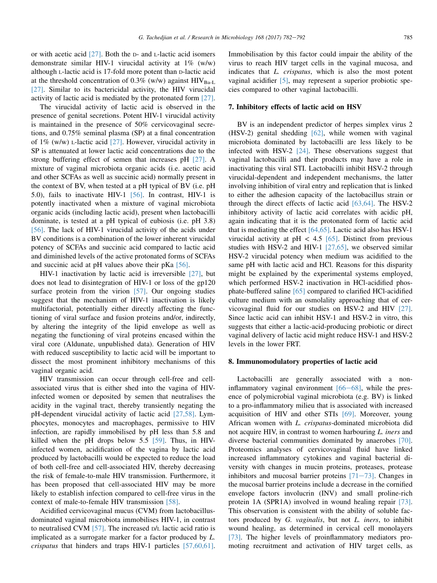or with acetic acid [\[27\].](#page-7-0) Both the D- and L-lactic acid isomers demonstrate similar HIV-1 virucidal activity at 1% (w/w) although L-lactic acid is 17-fold more potent than D-lactic acid at the threshold concentration of 0.3% (w/w) against  $HIV_{Ba-L}$ [\[27\]](#page-7-0). Similar to its bactericidal activity, the HIV virucidal activity of lactic acid is mediated by the protonated form [\[27\]](#page-7-0).

The virucidal activity of lactic acid is observed in the presence of genital secretions. Potent HIV-1 virucidal activity is maintained in the presence of 50% cervicovaginal secretions, and 0.75% seminal plasma (SP) at a final concentration of 1% (w/w)  $\text{L}$ -lactic acid [\[27\].](#page-7-0) However, virucidal activity in SP is attenuated at lower lactic acid concentrations due to the strong buffering effect of semen that increases pH [\[27\]](#page-7-0). A mixture of vaginal microbiota organic acids (i.e. acetic acid and other SCFAs as well as succinic acid) normally present in the context of BV, when tested at a pH typical of BV (i.e. pH 5.0), fails to inactivate HIV-1 [\[56\]](#page-8-0). In contrast, HIV-1 is potently inactivated when a mixture of vaginal microbiota organic acids (including lactic acid), present when lactobacilli dominate, is tested at a pH typical of eubiosis (i.e. pH 3.8) [\[56\]](#page-8-0). The lack of HIV-1 virucidal activity of the acids under BV conditions is a combination of the lower inherent virucidal potency of SCFAs and succinic acid compared to lactic acid and diminished levels of the active protonated forms of SCFAs and succinic acid at pH values above their pKa [\[56\].](#page-8-0)

HIV-1 inactivation by lactic acid is irreversible [\[27\]](#page-7-0), but does not lead to disintegration of HIV-1 or loss of the gp120 surface protein from the virion [\[57\].](#page-8-0) Our ongoing studies suggest that the mechanism of HIV-1 inactivation is likely multifactorial, potentially either directly affecting the functioning of viral surface and fusion proteins and/or, indirectly, by altering the integrity of the lipid envelope as well as negating the functioning of viral proteins encased within the viral core (Aldunate, unpublished data). Generation of HIV with reduced susceptibility to lactic acid will be important to dissect the most prominent inhibitory mechanisms of this vaginal organic acid.

HIV transmission can occur through cell-free and cellassociated virus that is either shed into the vagina of HIVinfected women or deposited by semen that neutralises the acidity in the vaginal tract, thereby transiently negating the pH-dependent virucidal activity of lactic acid [\[27,58\]](#page-7-0). Lymphocytes, monocytes and macrophages, permissive to HIV infection, are rapidly immobilised by pH less than 5.8 and killed when the pH drops below 5.5 [\[59\].](#page-8-0) Thus, in HIVinfected women, acidification of the vagina by lactic acid produced by lactobacilli would be expected to reduce the load of both cell-free and cell-associated HIV, thereby decreasing the risk of female-to-male HIV transmission. Furthermore, it has been proposed that cell-associated HIV may be more likely to establish infection compared to cell-free virus in the context of male-to-female HIV transmission [\[58\]](#page-8-0).

Acidified cervicovaginal mucus (CVM) from lactobacillusdominated vaginal microbiota immobilises HIV-1, in contrast to neutralised CVM [\[57\]](#page-8-0). The increased D/L lactic acid ratio is implicated as a surrogate marker for a factor produced by L. crispatus that hinders and traps HIV-1 particles [\[57,60,61\]](#page-8-0). Immobilisation by this factor could impair the ability of the virus to reach HIV target cells in the vaginal mucosa, and indicates that L. crispatus, which is also the most potent vaginal acidifier [\[5\],](#page-7-0) may represent a superior probiotic species compared to other vaginal lactobacilli.

## 7. Inhibitory effects of lactic acid on HSV

BV is an independent predictor of herpes simplex virus 2 (HSV-2) genital shedding [\[62\],](#page-8-0) while women with vaginal microbiota dominated by lactobacilli are less likely to be infected with HSV-2 [\[24\].](#page-7-0) These observations suggest that vaginal lactobacilli and their products may have a role in inactivating this viral STI. Lactobacilli inhibit HSV-2 through virucidal-dependent and independent mechanisms, the latter involving inhibition of viral entry and replication that is linked to either the adhesion capacity of the lactobacillus strain or through the direct effects of lactic acid [\[63,64\].](#page-8-0) The HSV-2 inhibitory activity of lactic acid correlates with acidic pH, again indicating that it is the protonated form of lactic acid that is mediating the effect [\[64,65\]](#page-8-0). Lactic acid also has HSV-1 virucidal activity at  $pH < 4.5$  [\[65\].](#page-8-0) Distinct from previous studies with HSV-2 and HIV-1 [\[27,65\],](#page-7-0) we observed similar HSV-2 virucidal potency when medium was acidified to the same pH with lactic acid and HCl. Reasons for this disparity might be explained by the experimental systems employed, which performed HSV-2 inactivation in HCl-acidified phosphate-buffered saline [\[65\]](#page-8-0) compared to clarified HCl-acidified culture medium with an osmolality approaching that of cervicovaginal fluid for our studies on HSV-2 and HIV [\[27\]](#page-7-0). Since lactic acid can inhibit HSV-1 and HSV-2 in vitro, this suggests that either a lactic-acid-producing probiotic or direct vaginal delivery of lactic acid might reduce HSV-1 and HSV-2 levels in the lower FRT.

#### 8. Immunomodulatory properties of lactic acid

Lactobacilli are generally associated with a noninflammatory vaginal environment  $[66-68]$  $[66-68]$  $[66-68]$ , while the presence of polymicrobial vaginal microbiota (e.g. BV) is linked to a pro-inflammatory milieu that is associated with increased acquisition of HIV and other STIs [\[69\]](#page-8-0). Moreover, young African women with L. crispatus-dominated microbiota did not acquire HIV, in contrast to women harbouring L. iners and diverse bacterial communities dominated by anaerobes [\[70\]](#page-8-0). Proteomics analyses of cervicovaginal fluid have linked increased inflammatory cytokines and vaginal bacterial diversity with changes in mucin proteins, proteases, protease inhibitors and mucosal barrier proteins  $[71-73]$  $[71-73]$  $[71-73]$ . Changes in the mucosal barrier proteins include a decrease in the cornified envelope factors involucrin (INV) and small proline-rich protein 1A (SPR1A) involved in wound healing repair [\[73\]](#page-8-0). This observation is consistent with the ability of soluble factors produced by G. vaginalis, but not L. iners, to inhibit wound healing, as determined in cervical cell monolayers [\[73\]](#page-8-0). The higher levels of proinflammatory mediators promoting recruitment and activation of HIV target cells, as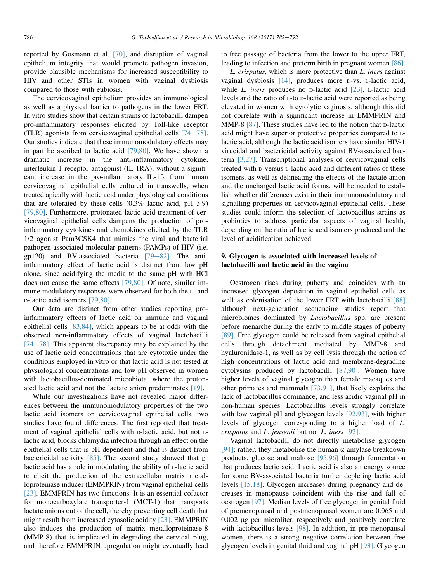reported by Gosmann et al. [\[70\],](#page-8-0) and disruption of vaginal epithelium integrity that would promote pathogen invasion, provide plausible mechanisms for increased susceptibility to HIV and other STIs in women with vaginal dysbiosis compared to those with eubiosis.

The cervicovaginal epithelium provides an immunological as well as a physical barrier to pathogens in the lower FRT. In vitro studies show that certain strains of lactobacilli dampen pro-inflammatory responses elicited by Toll-like receptor (TLR) agonists from cervicovaginal epithelial cells  $[74-78]$  $[74-78]$  $[74-78]$ . Our studies indicate that these immunomodulatory effects may in part be ascribed to lactic acid [\[79,80\].](#page-9-0) We have shown a dramatic increase in the anti-inflammatory cytokine, interleukin-1 receptor antagonist (IL-1RA), without a significant increase in the pro-inflammatory IL-1 $\beta$ , from human cervicovaginal epithelial cells cultured in transwells, when treated apically with lactic acid under physiological conditions that are tolerated by these cells (0.3% lactic acid, pH 3.9) [\[79,80\].](#page-9-0) Furthermore, protonated lactic acid treatment of cervicovaginal epithelial cells dampens the production of proinflammatory cytokines and chemokines elicited by the TLR 1/2 agonist Pam3CSK4 that mimics the viral and bacterial pathogen-associated molecular patterns (PAMPs) of HIV (i.e. gp120) and BV-associated bacteria  $[79-82]$  $[79-82]$  $[79-82]$ . The antiinflammatory effect of lactic acid is distinct from low pH alone, since acidifying the media to the same pH with HCl does not cause the same effects [\[79,80\]](#page-9-0). Of note, similar immune modulatory responses were observed for both the L- and D-lactic acid isomers [\[79,80\].](#page-9-0)

Our data are distinct from other studies reporting proinflammatory effects of lactic acid on immune and vaginal epithelial cells [\[83,84\],](#page-9-0) which appears to be at odds with the observed non-inflammatory effects of vaginal lactobacilli  $[74-78]$  $[74-78]$ . This apparent discrepancy may be explained by the use of lactic acid concentrations that are cytotoxic under the conditions employed in vitro or that lactic acid is not tested at physiological concentrations and low pH observed in women with lactobacillus-dominated microbiota, where the protonated lactic acid and not the lactate anion predominates [\[19\].](#page-7-0)

While our investigations have not revealed major differences between the immunomodulatory properties of the two lactic acid isomers on cervicovaginal epithelial cells, two studies have found differences. The first reported that treatment of vaginal epithelial cells with D-lactic acid, but not Llactic acid, blocks chlamydia infection through an effect on the epithelial cells that is pH-dependent and that is distinct from bactericidal activity  $[85]$ . The second study showed that Dlactic acid has a role in modulating the ability of L-lactic acid to elicit the production of the extracellular matrix metalloproteinase inducer (EMMPRIN) from vaginal epithelial cells [\[23\]](#page-7-0). EMMPRIN has two functions. It is an essential cofactor for monocarboxylate transporter-1 (MCT-1) that transports lactate anions out of the cell, thereby preventing cell death that might result from increased cytosolic acidity [\[23\]](#page-7-0). EMMPRIN also induces the production of matrix metalloproteinase-8 (MMP-8) that is implicated in degrading the cervical plug, and therefore EMMPRIN upregulation might eventually lead to free passage of bacteria from the lower to the upper FRT, leading to infection and preterm birth in pregnant women [\[86\]](#page-9-0).

L. crispatus, which is more protective than L. iners against vaginal dysbiosis [\[14\]](#page-7-0), produces more D-vs. L-lactic acid, while  $L$ . *iners* produces no  $D$ -lactic acid  $[23]$ .  $L$ -lactic acid levels and the ratio of L-to D-lactic acid were reported as being elevated in women with cytolytic vaginosis, although this did not correlate with a significant increase in EMMPRIN and MMP-8 [\[87\].](#page-9-0) These studies have led to the notion that p-lactic acid might have superior protective properties compared to Llactic acid, although the lactic acid isomers have similar HIV-1 virucidal and bactericidal activity against BV-associated bacteria [\[3,27\]](#page-7-0). Transcriptional analyses of cervicovaginal cells treated with D-versus L-lactic acid and different ratios of these isomers, as well as delineating the effects of the lactate anion and the uncharged lactic acid forms, will be needed to establish whether differences exist in their immunomodulatory and signalling properties on cervicovaginal epithelial cells. These studies could inform the selection of lactobacillus strains as probiotics to address particular aspects of vaginal health, depending on the ratio of lactic acid isomers produced and the level of acidification achieved.

# 9. Glycogen is associated with increased levels of lactobacilli and lactic acid in the vagina

Oestrogen rises during puberty and coincides with an increased glycogen deposition in vaginal epithelial cells as well as colonisation of the lower FRT with lactobacilli [\[88\]](#page-9-0) although next-generation sequencing studies report that microbiomes dominated by Lactobacillus spp. are present before menarche during the early to middle stages of puberty [\[89\]](#page-9-0). Free glycogen could be released from vaginal epithelial cells through detachment mediated by MMP-8 and hyaluronidase-1, as well as by cell lysis through the action of high concentrations of lactic acid and membrane-degrading cytolysins produced by lactobacilli [\[87,90\]](#page-9-0). Women have higher levels of vaginal glycogen than female macaques and other primates and mammals [\[73,91\]](#page-8-0), that likely explains the lack of lactobacillus dominance, and less acidic vaginal pH in non-human species. Lactobacillus levels strongly correlate with low vaginal pH and glycogen levels [\[92,93\],](#page-9-0) with higher levels of glycogen corresponding to a higher load of L. crispatus and L. jensenii but not L. iners [\[92\].](#page-9-0)

Vaginal lactobacilli do not directly metabolise glycogen [\[94\]](#page-9-0); rather, they metabolise the human  $\alpha$ -amylase breakdown products, glucose and maltose [\[95,96\]](#page-9-0) through fermentation that produces lactic acid. Lactic acid is also an energy source for some BV-associated bacteria further depleting lactic acid levels [\[15,18\].](#page-7-0) Glycogen increases during pregnancy and decreases in menopause coincident with the rise and fall of oestrogen [\[97\]](#page-9-0). Median levels of free glycogen in genital fluid of premenopausal and postmenopausal women are 0.065 and 0.002 µg per microliter, respectively and positively correlate with lactobacillus levels [\[98\].](#page-9-0) In addition, in pre-menopausal women, there is a strong negative correlation between free glycogen levels in genital fluid and vaginal pH [\[93\].](#page-9-0) Glycogen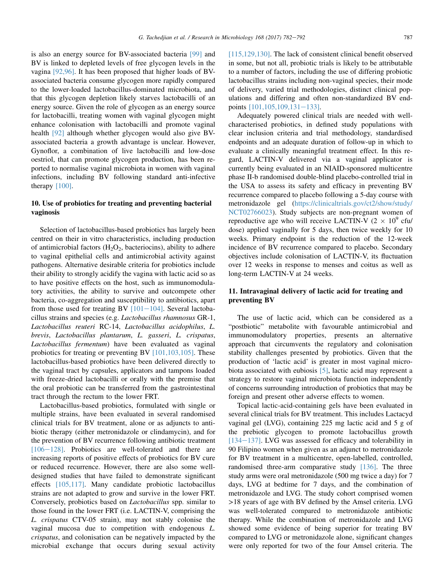is also an energy source for BV-associated bacteria [\[99\]](#page-9-0) and BV is linked to depleted levels of free glycogen levels in the vagina [\[92,96\]](#page-9-0). It has been proposed that higher loads of BVassociated bacteria consume glycogen more rapidly compared to the lower-loaded lactobacillus-dominated microbiota, and that this glycogen depletion likely starves lactobacilli of an energy source. Given the role of glycogen as an energy source for lactobacilli, treating women with vaginal glycogen might enhance colonisation with lactobacilli and promote vaginal health [\[92\]](#page-9-0) although whether glycogen would also give BVassociated bacteria a growth advantage is unclear. However, Gynoflor, a combination of live lactobacilli and low-dose oestriol, that can promote glycogen production, has been reported to normalise vaginal microbiota in women with vaginal infections, including BV following standard anti-infective therapy [\[100\].](#page-9-0)

# 10. Use of probiotics for treating and preventing bacterial vaginosis

Selection of lactobacillus-based probiotics has largely been centred on their in vitro characteristics, including production of antimicrobial factors  $(H_2O_2)$ , bacteriocins), ability to adhere to vaginal epithelial cells and antimicrobial activity against pathogens. Alternative desirable criteria for probiotics include their ability to strongly acidify the vagina with lactic acid so as to have positive effects on the host, such as immunomodulatory activities, the ability to survive and outcompete other bacteria, co-aggregation and susceptibility to antibiotics, apart from those used for treating BV  $[101-104]$  $[101-104]$  $[101-104]$ . Several lactobacillus strains and species (e.g. Lactobacillus rhamnosus GR-1, Lactobacillus reuteri RC-14, Lactobacillus acidophilus, L. brevis, Lactobacillus plantarum, L. gasseri, L. crispatus, Lactobacillus fermentum) have been evaluated as vaginal probiotics for treating or preventing BV [\[101,103,105\]](#page-9-0). These lactobacillus-based probiotics have been delivered directly to the vaginal tract by capsules, applicators and tampons loaded with freeze-dried lactobacilli or orally with the premise that the oral probiotic can be transferred from the gastrointestinal tract through the rectum to the lower FRT.

Lactobacillus-based probiotics, formulated with single or multiple strains, have been evaluated in several randomised clinical trials for BV treatment, alone or as adjuncts to antibiotic therapy (either metronidazole or clindamycin), and for the prevention of BV recurrence following antibiotic treatment  $[106-128]$  $[106-128]$ . Probiotics are well-tolerated and there are increasing reports of positive effects of probiotics for BV cure or reduced recurrence. However, there are also some welldesigned studies that have failed to demonstrate significant effects [\[105,117\]](#page-9-0). Many candidate probiotic lactobacillus strains are not adapted to grow and survive in the lower FRT. Conversely, probiotics based on Lactobacillus spp. similar to those found in the lower FRT (i.e. LACTIN-V, comprising the L. crispatus CTV-05 strain), may not stably colonise the vaginal mucosa due to competition with endogenous L. crispatus, and colonisation can be negatively impacted by the microbial exchange that occurs during sexual activity [\[115,129,130\]](#page-10-0). The lack of consistent clinical benefit observed in some, but not all, probiotic trials is likely to be attributable to a number of factors, including the use of differing probiotic lactobacillus strains including non-vaginal species, their mode of delivery, varied trial methodologies, distinct clinical populations and differing and often non-standardized BV endpoints  $[101, 105, 109, 131 - 133]$ .

Adequately powered clinical trials are needed with wellcharacterised probiotics, in defined study populations with clear inclusion criteria and trial methodology, standardised endpoints and an adequate duration of follow-up in which to evaluate a clinically meaningful treatment effect. In this regard, LACTIN-V delivered via a vaginal applicator is currently being evaluated in an NIAID-sponsored multicentre phase II-b randomised double-blind placebo-controlled trial in the USA to assess its safety and efficacy in preventing BV recurrence compared to placebo following a 5-day course with metronidazole gel ([https://clinicaltrials.gov/ct2/show/study/](https://clinicaltrials.gov/ct2/show/study/NCT02766023) [NCT02766023](https://clinicaltrials.gov/ct2/show/study/NCT02766023)). Study subjects are non-pregnant women of reproductive age who will receive LACTIN-V ( $2 \times 10^9$  cfu/ dose) applied vaginally for 5 days, then twice weekly for 10 weeks. Primary endpoint is the reduction of the 12-week incidence of BV recurrence compared to placebo. Secondary objectives include colonisation of LACTIN-V, its fluctuation over 12 weeks in response to menses and coitus as well as long-term LACTIN-V at 24 weeks.

# 11. Intravaginal delivery of lactic acid for treating and preventing BV

The use of lactic acid, which can be considered as a postbiotic" metabolite with favourable antimicrobial and immunomodulatory properties, presents an alternative approach that circumvents the regulatory and colonisation stability challenges presented by probiotics. Given that the production of 'lactic acid' is greater in most vaginal microbiota associated with eubiosis [\[5\]](#page-7-0), lactic acid may represent a strategy to restore vaginal microbiota function independently of concerns surrounding introduction of probiotics that may be foreign and present other adverse effects to women.

Topical lactic-acid-containing gels have been evaluated in several clinical trials for BV treatment. This includes Lactacyd vaginal gel (LVG), containing 225 mg lactic acid and 5 g of the prebiotic glycogen to promote lactobacillus growth  $[134-137]$  $[134-137]$ . LVG was assessed for efficacy and tolerability in 90 Filipino women when given as an adjunct to metronidazole for BV treatment in a multicentre, open-labelled, controlled, randomised three-arm comparative study [\[136\].](#page-10-0) The three study arms were oral metronidazole (500 mg twice a day) for 7 days, LVG at bedtime for 7 days, and the combination of metronidazole and LVG. The study cohort comprised women >18 years of age with BV defined by the Amsel criteria. LVG was well-tolerated compared to metronidazole antibiotic therapy. While the combination of metronidazole and LVG showed some evidence of being superior for treating BV compared to LVG or metronidazole alone, significant changes were only reported for two of the four Amsel criteria. The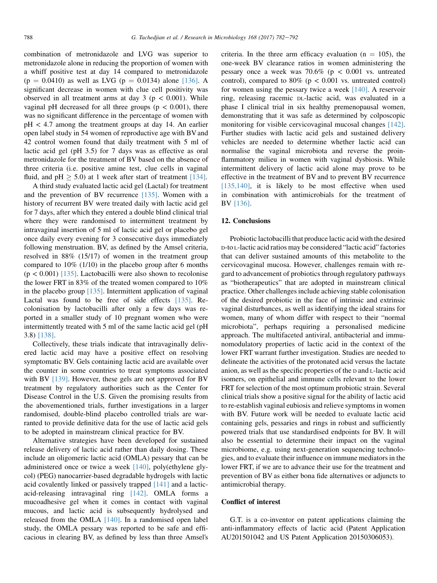combination of metronidazole and LVG was superior to metronidazole alone in reducing the proportion of women with a whiff positive test at day 14 compared to metronidazole  $(p = 0.0410)$  as well as LVG  $(p = 0.0134)$  alone [\[136\].](#page-10-0) A significant decrease in women with clue cell positivity was observed in all treatment arms at day  $3$  ( $p < 0.001$ ). While vaginal pH decreased for all three groups ( $p < 0.001$ ), there was no significant difference in the percentage of women with pH < 4.7 among the treatment groups at day 14. An earlier open label study in 54 women of reproductive age with BV and 42 control women found that daily treatment with 5 ml of lactic acid gel (pH 3.5) for 7 days was as effective as oral metronidazole for the treatment of BV based on the absence of three criteria (i.e. positive amine test, clue cells in vaginal fluid, and  $pH \geq 5.0$ ) at 1 week after start of treatment [\[134\]](#page-10-0).

A third study evaluated lactic acid gel (Lactal) for treatment and the prevention of BV recurrence [\[135\].](#page-10-0) Women with a history of recurrent BV were treated daily with lactic acid gel for 7 days, after which they entered a double blind clinical trial where they were randomised to intermittent treatment by intravaginal insertion of 5 ml of lactic acid gel or placebo gel once daily every evening for 3 consecutive days immediately following menstruation. BV, as defined by the Amsel criteria, resolved in 88% (15/17) of women in the treatment group compared to 10% (1/10) in the placebo group after 6 months  $(p < 0.001)$  [\[135\]](#page-10-0). Lactobacilli were also shown to recolonise the lower FRT in 83% of the treated women compared to 10% in the placebo group  $[135]$ . Intermittent application of vaginal Lactal was found to be free of side effects [\[135\]](#page-10-0). Recolonisation by lactobacilli after only a few days was reported in a smaller study of 10 pregnant women who were intermittently treated with 5 ml of the same lactic acid gel (pH 3.8) [\[138\]](#page-10-0).

Collectively, these trials indicate that intravaginally delivered lactic acid may have a positive effect on resolving symptomatic BV. Gels containing lactic acid are available over the counter in some countries to treat symptoms associated with BV [\[139\].](#page-10-0) However, these gels are not approved for BV treatment by regulatory authorities such as the Center for Disease Control in the U.S. Given the promising results from the abovementioned trials, further investigations in a larger randomised, double-blind placebo controlled trials are warranted to provide definitive data for the use of lactic acid gels to be adopted in mainstream clinical practice for BV.

Alternative strategies have been developed for sustained release delivery of lactic acid rather than daily dosing. These include an oligomeric lactic acid (OMLA) pessary that can be administered once or twice a week [\[140\],](#page-10-0) poly(ethylene glycol) (PEG) nanocarrier-based degradable hydrogels with lactic acid covalently linked or passively trapped [\[141\]](#page-10-0) and a lacticacid-releasing intravaginal ring [\[142\]](#page-10-0). OMLA forms a mucoadhesive gel when it comes in contact with vaginal mucous, and lactic acid is subsequently hydrolysed and released from the OMLA [\[140\].](#page-10-0) In a randomised open label study, the OMLA pessary was reported to be safe and efficacious in clearing BV, as defined by less than three Amsel's criteria. In the three arm efficacy evaluation ( $n = 105$ ), the one-week BV clearance ratios in women administering the pessary once a week was  $70.6\%$  (p < 0.001 vs. untreated control), compared to 80% ( $p < 0.001$  vs. untreated control) for women using the pessary twice a week [\[140\]](#page-10-0). A reservoir ring, releasing racemic DL-lactic acid, was evaluated in a phase I clinical trial in six healthy premenopausal women, demonstrating that it was safe as determined by colposcopic monitoring for visible cervicovaginal mucosal changes [\[142\]](#page-10-0). Further studies with lactic acid gels and sustained delivery vehicles are needed to determine whether lactic acid can normalise the vaginal microbiota and reverse the proinflammatory milieu in women with vaginal dysbiosis. While intermittent delivery of lactic acid alone may prove to be effective in the treatment of BV and to prevent BV recurrence [\[135,140\],](#page-10-0) it is likely to be most effective when used in combination with antimicrobials for the treatment of BV [\[136\].](#page-10-0)

#### 12. Conclusions

Probiotic lactobacilli that produce lactic acid with the desired D-to L-lactic acid ratios may be considered "lactic acid" factories that can deliver sustained amounts of this metabolite to the cervicovaginal mucosa. However, challenges remain with regard to advancement of probiotics through regulatory pathways as "biotherapeutics" that are adopted in mainstream clinical practice. Other challenges include achieving stable colonisation of the desired probiotic in the face of intrinsic and extrinsic vaginal disturbances, as well as identifying the ideal strains for or the desired problotte in the race of intrinsic and extrinsic<br>vaginal disturbances, as well as identifying the ideal strains for<br>women, many of whom differ with respect to their "normal women, many of whom differ with respect to their "normal microbiota", perhaps requiring a personalised medicine approach. The multifaceted antiviral, antibacterial and immunomodulatory properties of lactic acid in the context of the lower FRT warrant further investigation. Studies are needed to delineate the activities of the protonated acid versus the lactate anion, as well as the specific properties of the <sup>D</sup> and L-lactic acid isomers, on epithelial and immune cells relevant to the lower FRT for selection of the most optimum probiotic strain. Several clinical trials show a positive signal for the ability of lactic acid to re-establish vaginal eubiosis and relieve symptoms in women with BV. Future work will be needed to evaluate lactic acid containing gels, pessaries and rings in robust and sufficiently powered trials that use standardised endpoints for BV. It will also be essential to determine their impact on the vaginal microbiome, e.g. using next-generation sequencing technologies, and to evaluate their influence on immune mediators in the lower FRT, if we are to advance their use for the treatment and prevention of BV as either bona fide alternatives or adjuncts to antimicrobial therapy.

## Conflict of interest

G.T. is a co-inventor on patent applications claiming the anti-inflammatory effects of lactic acid (Patent Application AU201501042 and US Patent Application 20150306053).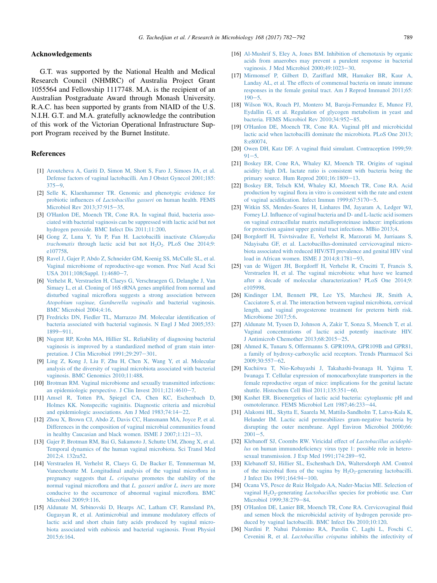# <span id="page-7-0"></span>Acknowledgements

G.T. was supported by the National Health and Medical Research Council (NHMRC) of Australia Project Grant 1055564 and Fellowship 1117748. M.A. is the recipient of an Australian Postgraduate Award through Monash University. R.A.C. has been supported by grants from NIAID of the U.S. N.I.H. G.T. and M.A. gratefully acknowledge the contribution of this work of the Victorian Operational Infrastructure Support Program received by the Burnet Institute.

# References

- [1] [Aroutcheva A, Gariti D, Simon M, Shott S, Faro J, Simoes JA, et al.](http://refhub.elsevier.com/S0923-2508(17)30083-9/sref1) [Defense factors of vaginal lactobacilli. Am J Obstet Gynecol 2001;185:](http://refhub.elsevier.com/S0923-2508(17)30083-9/sref1)  $375 - 9$  $375 - 9$ .
- [2] [Selle K, Klaenhammer TR. Genomic and phenotypic evidence for](http://refhub.elsevier.com/S0923-2508(17)30083-9/sref2) probiotic influences of Lactobacillus gasseri [on human health. FEMS](http://refhub.elsevier.com/S0923-2508(17)30083-9/sref2) [Microbiol Rev 2013;37:915](http://refhub.elsevier.com/S0923-2508(17)30083-9/sref2)-[35.](http://refhub.elsevier.com/S0923-2508(17)30083-9/sref2)
- [3] O'[Hanlon DE, Moench TR, Cone RA. In vaginal fluid, bacteria asso](http://refhub.elsevier.com/S0923-2508(17)30083-9/sref3)[ciated with bacterial vaginosis can be suppressed with lactic acid but not](http://refhub.elsevier.com/S0923-2508(17)30083-9/sref3) [hydrogen peroxide. BMC Infect Dis 2011;11:200](http://refhub.elsevier.com/S0923-2508(17)30083-9/sref3).
- [4] [Gong Z, Luna Y, Yu P, Fan H. Lactobacilli inactivate](http://refhub.elsevier.com/S0923-2508(17)30083-9/sref4) Chlamydia trachomatis through lactic acid but not  $H_2O_2$ . PLoS One 2014;9: [e107758](http://refhub.elsevier.com/S0923-2508(17)30083-9/sref4).
- [5] [Ravel J, Gajer P, Abdo Z, Schneider GM, Koenig SS, McCulle SL, et al.](http://refhub.elsevier.com/S0923-2508(17)30083-9/sref5) [Vaginal microbiome of reproductive-age women. Proc Natl Acad Sci](http://refhub.elsevier.com/S0923-2508(17)30083-9/sref5) [USA 2011;108\(Suppl. 1\):4680](http://refhub.elsevier.com/S0923-2508(17)30083-9/sref5)-[7.](http://refhub.elsevier.com/S0923-2508(17)30083-9/sref5)
- [6] [Verhelst R, Verstraelen H, Claeys G, Verschraegen G, Delanghe J, Van](http://refhub.elsevier.com/S0923-2508(17)30083-9/sref6) [Simaey L, et al. Cloning of 16S rRNA genes amplified from normal and](http://refhub.elsevier.com/S0923-2508(17)30083-9/sref6) [disturbed vaginal microflora suggests a strong association between](http://refhub.elsevier.com/S0923-2508(17)30083-9/sref6) [Atopobium vaginae, Gardnerella vaginalis](http://refhub.elsevier.com/S0923-2508(17)30083-9/sref6) and bacterial vaginosis. [BMC Microbiol 2004;4:16.](http://refhub.elsevier.com/S0923-2508(17)30083-9/sref6)
- [7] [Fredricks DN, Fiedler TL, Marrazzo JM. Molecular identification of](http://refhub.elsevier.com/S0923-2508(17)30083-9/sref7) [bacteria associated with bacterial vaginosis. N Engl J Med 2005;353:](http://refhub.elsevier.com/S0923-2508(17)30083-9/sref7) [1899](http://refhub.elsevier.com/S0923-2508(17)30083-9/sref7)-[911.](http://refhub.elsevier.com/S0923-2508(17)30083-9/sref7)
- [8] [Nugent RP, Krohn MA, Hillier SL. Reliability of diagnosing bacterial](http://refhub.elsevier.com/S0923-2508(17)30083-9/sref8) [vaginosis is improved by a standardized method of gram stain inter](http://refhub.elsevier.com/S0923-2508(17)30083-9/sref8)pretation. J Clin Microbiol  $1991;29:297-301$ .
- [9] [Ling Z, Kong J, Liu F, Zhu H, Chen X, Wang Y, et al. Molecular](http://refhub.elsevier.com/S0923-2508(17)30083-9/sref9) [analysis of the diversity of vaginal microbiota associated with bacterial](http://refhub.elsevier.com/S0923-2508(17)30083-9/sref9) [vaginosis. BMC Genomics 2010;11:488.](http://refhub.elsevier.com/S0923-2508(17)30083-9/sref9)
- [10] [Brotman RM. Vaginal microbiome and sexually transmitted infections:](http://refhub.elsevier.com/S0923-2508(17)30083-9/sref10) an epidemiologic perspective. J Clin Invest  $2011;121:4610-7$ .
- [11] [Amsel R, Totten PA, Spiegel CA, Chen KC, Eschenbach D,](http://refhub.elsevier.com/S0923-2508(17)30083-9/sref11) [Holmes KK. Nonspecific vaginitis. Diagnostic criteria and microbial](http://refhub.elsevier.com/S0923-2508(17)30083-9/sref11) [and epidemiologic associations. Am J Med 1983;74:14](http://refhub.elsevier.com/S0923-2508(17)30083-9/sref11)-[22](http://refhub.elsevier.com/S0923-2508(17)30083-9/sref11).
- [12] [Zhou X, Brown CJ, Abdo Z, Davis CC, Hansmann MA, Joyce P, et al.](http://refhub.elsevier.com/S0923-2508(17)30083-9/sref12) [Differences in the composition of vaginal microbial communities found](http://refhub.elsevier.com/S0923-2508(17)30083-9/sref12) in healthy Caucasian and black women. ISME J  $2007;1:121-33$ .
- [13] [Gajer P, Brotman RM, Bai G, Sakamoto J, Schutte UM, Zhong X, et al.](http://refhub.elsevier.com/S0923-2508(17)30083-9/sref13) [Temporal dynamics of the human vaginal microbiota. Sci Transl Med](http://refhub.elsevier.com/S0923-2508(17)30083-9/sref13) [2012;4. 132ra52.](http://refhub.elsevier.com/S0923-2508(17)30083-9/sref13)
- [14] [Verstraelen H, Verhelst R, Claeys G, De Backer E, Temmerman M,](http://refhub.elsevier.com/S0923-2508(17)30083-9/sref14) [Vaneechoutte M. Longitudinal analysis of the vaginal microflora in](http://refhub.elsevier.com/S0923-2508(17)30083-9/sref14) pregnancy suggests that L. crispatus [promotes the stability of the](http://refhub.elsevier.com/S0923-2508(17)30083-9/sref14) [normal vaginal microflora and that](http://refhub.elsevier.com/S0923-2508(17)30083-9/sref14) L. gasseri and/or L. iners are more [conducive to the occurrence of abnormal vaginal microflora. BMC](http://refhub.elsevier.com/S0923-2508(17)30083-9/sref14) [Microbiol 2009;9:116.](http://refhub.elsevier.com/S0923-2508(17)30083-9/sref14)
- [15] [Aldunate M, Srbinovski D, Hearps AC, Latham CF, Ramsland PA,](http://refhub.elsevier.com/S0923-2508(17)30083-9/sref15) [Gugasyan R, et al. Antimicrobial and immune modulatory effects of](http://refhub.elsevier.com/S0923-2508(17)30083-9/sref15) [lactic acid and short chain fatty acids produced by vaginal micro](http://refhub.elsevier.com/S0923-2508(17)30083-9/sref15)[biota associated with eubiosis and bacterial vaginosis. Front Physiol](http://refhub.elsevier.com/S0923-2508(17)30083-9/sref15) [2015;6:164](http://refhub.elsevier.com/S0923-2508(17)30083-9/sref15).
- [16] [Al-Mushrif S, Eley A, Jones BM. Inhibition of chemotaxis by organic](http://refhub.elsevier.com/S0923-2508(17)30083-9/sref16) [acids from anaerobes may prevent a purulent response in bacterial](http://refhub.elsevier.com/S0923-2508(17)30083-9/sref16) vaginosis. J Med Microbiol  $2000:49:1023-30$ .
- [17] [Mirmonsef P, Gilbert D, Zariffard MR, Hamaker BR, Kaur A,](http://refhub.elsevier.com/S0923-2508(17)30083-9/sref17) [Landay AL, et al. The effects of commensal bacteria on innate immune](http://refhub.elsevier.com/S0923-2508(17)30083-9/sref17) [responses in the female genital tract. Am J Reprod Immunol 2011;65:](http://refhub.elsevier.com/S0923-2508(17)30083-9/sref17)  $190 - 5.$  $190 - 5.$  $190 - 5.$
- [18] [Wilson WA, Roach PJ, Montero M, Baroja-Fernandez E, Munoz FJ,](http://refhub.elsevier.com/S0923-2508(17)30083-9/sref18) [Eydallin G, et al. Regulation of glycogen metabolism in yeast and](http://refhub.elsevier.com/S0923-2508(17)30083-9/sref18) [bacteria. FEMS Microbiol Rev 2010;34:952](http://refhub.elsevier.com/S0923-2508(17)30083-9/sref18)-[85](http://refhub.elsevier.com/S0923-2508(17)30083-9/sref18).
- [19] O'[Hanlon DE, Moench TR, Cone RA. Vaginal pH and microbicidal](http://refhub.elsevier.com/S0923-2508(17)30083-9/sref19) [lactic acid when lactobacilli dominate the microbiota. PLoS One 2013;](http://refhub.elsevier.com/S0923-2508(17)30083-9/sref19) [8:e80074](http://refhub.elsevier.com/S0923-2508(17)30083-9/sref19).
- [20] [Owen DH, Katz DF. A vaginal fluid simulant. Contraception 1999;59:](http://refhub.elsevier.com/S0923-2508(17)30083-9/sref20)  $91 - 5$  $91 - 5$
- [21] [Boskey ER, Cone RA, Whaley KJ, Moench TR. Origins of vaginal](http://refhub.elsevier.com/S0923-2508(17)30083-9/sref21) [acidity: high D/L lactate ratio is consistent with bacteria being the](http://refhub.elsevier.com/S0923-2508(17)30083-9/sref21) primary source. Hum Reprod  $2001;16:1809-13$ .
- [22] [Boskey ER, Telsch KM, Whaley KJ, Moench TR, Cone RA. Acid](http://refhub.elsevier.com/S0923-2508(17)30083-9/sref22) [production by vaginal flora in vitro is consistent with the rate and extent](http://refhub.elsevier.com/S0923-2508(17)30083-9/sref22) of vaginal acidification. Infect Immun  $1999;67:5170-5$  $1999;67:5170-5$  $1999;67:5170-5$ .
- [23] [Witkin SS, Mendes-Soares H, Linhares IM, Jayaram A, Ledger WJ,](http://refhub.elsevier.com/S0923-2508(17)30083-9/sref23) [Forney LJ. Influence of vaginal bacteria and D- and L-lactic acid isomers](http://refhub.elsevier.com/S0923-2508(17)30083-9/sref23) [on vaginal extracellular matrix metalloproteinase inducer: implications](http://refhub.elsevier.com/S0923-2508(17)30083-9/sref23) [for protection against upper genital tract infections. MBio 2013;4.](http://refhub.elsevier.com/S0923-2508(17)30083-9/sref23)
- [24] [Borgdorff H, Tsivtsivadze E, Verhelst R, Marzorati M, Jurriaans S,](http://refhub.elsevier.com/S0923-2508(17)30083-9/sref24) [Ndayisaba GF, et al. Lactobacillus-dominated cervicovaginal micro](http://refhub.elsevier.com/S0923-2508(17)30083-9/sref24)[biota associated with reduced HIV/STI prevalence and genital HIV viral](http://refhub.elsevier.com/S0923-2508(17)30083-9/sref24) load in African women. ISME J  $2014;8:1781-93$ .
- [25] [van de Wijgert JH, Borgdorff H, Verhelst R, Crucitti T, Francis S,](http://refhub.elsevier.com/S0923-2508(17)30083-9/sref25) [Verstraelen H, et al. The vaginal microbiota: what have we learned](http://refhub.elsevier.com/S0923-2508(17)30083-9/sref25) [after a decade of molecular characterization? PLoS One 2014;9:](http://refhub.elsevier.com/S0923-2508(17)30083-9/sref25) [e105998](http://refhub.elsevier.com/S0923-2508(17)30083-9/sref25).
- [26] [Kindinger LM, Bennett PR, Lee YS, Marchesi JR, Smith A,](http://refhub.elsevier.com/S0923-2508(17)30083-9/sref26) [Cacciatore S, et al. The interaction between vaginal microbiota, cervical](http://refhub.elsevier.com/S0923-2508(17)30083-9/sref26) [length, and vaginal progesterone treatment for preterm birth risk.](http://refhub.elsevier.com/S0923-2508(17)30083-9/sref26) Microbiome 2017:5:6.
- [27] [Aldunate M, Tyssen D, Johnson A, Zakir T, Sonza S, Moench T, et al.](http://refhub.elsevier.com/S0923-2508(17)30083-9/sref27) [Vaginal concentrations of lactic acid potently inactivate HIV.](http://refhub.elsevier.com/S0923-2508(17)30083-9/sref27) J Antimicrob Chemother  $2013:68:2015-25$ .
- [28] [Ahmed K, Tunaru S, Offermanns S. GPR109A, GPR109B and GPR81,](http://refhub.elsevier.com/S0923-2508(17)30083-9/sref28) [a family of hydroxy-carboxylic acid receptors. Trends Pharmacol Sci](http://refhub.elsevier.com/S0923-2508(17)30083-9/sref28) [2009;30:557](http://refhub.elsevier.com/S0923-2508(17)30083-9/sref28)-[62.](http://refhub.elsevier.com/S0923-2508(17)30083-9/sref28)
- [29] [Kuchiiwa T, Nio-Kobayashi J, Takahashi-Iwanaga H, Yajima T,](http://refhub.elsevier.com/S0923-2508(17)30083-9/sref29) [Iwanaga T. Cellular expression of monocarboxylate transporters in the](http://refhub.elsevier.com/S0923-2508(17)30083-9/sref29) [female reproductive organ of mice: implications for the genital lactate](http://refhub.elsevier.com/S0923-2508(17)30083-9/sref29) shuttle. Histochem Cell Biol  $2011;135:351-60$  $2011;135:351-60$ .
- [30] [Kashet ER. Bioenergetics of lactic acid bacteria: cytoplasmic pH and](http://refhub.elsevier.com/S0923-2508(17)30083-9/sref30) [osmotolerance. FEMS Microbiol Lett 1987;46:233](http://refhub.elsevier.com/S0923-2508(17)30083-9/sref30)-[44](http://refhub.elsevier.com/S0923-2508(17)30083-9/sref30).
- [31] [Alakomi HL, Skytta E, Saarela M, Mattila-Sandholm T, Latva-Kala K,](http://refhub.elsevier.com/S0923-2508(17)30083-9/sref31) [Helander IM. Lactic acid permeabilizes gram-negative bacteria by](http://refhub.elsevier.com/S0923-2508(17)30083-9/sref31) [disrupting the outer membrane. Appl Environ Microbiol 2000;66:](http://refhub.elsevier.com/S0923-2508(17)30083-9/sref31)  $2001 - 5$  $2001 - 5$
- [32] [Klebanoff SJ, Coombs RW. Viricidal effect of](http://refhub.elsevier.com/S0923-2508(17)30083-9/sref32) Lactobacillus acidophilus [on human immunodeficiency virus type 1: possible role in hetero](http://refhub.elsevier.com/S0923-2508(17)30083-9/sref32)sexual transmission. J Exp Med  $1991;174:289-92$  $1991;174:289-92$ .
- [33] [Klebanoff SJ, Hillier SL, Eschenbach DA, Waltersdorph AM. Control](http://refhub.elsevier.com/S0923-2508(17)30083-9/sref33) of the microbial flora of the vagina by  $H_2O_2$ -generating lactobacilli. [J Infect Dis 1991;164:94](http://refhub.elsevier.com/S0923-2508(17)30083-9/sref33)-[100](http://refhub.elsevier.com/S0923-2508(17)30083-9/sref33).
- [34] [Ocana VS, Pesce de Ruiz Holgado AA, Nader-Macias ME. Selection of](http://refhub.elsevier.com/S0923-2508(17)30083-9/sref34) vaginal  $H_2O_2$ -generating *Lactobacillus* [species for probiotic use. Curr](http://refhub.elsevier.com/S0923-2508(17)30083-9/sref34) [Microbiol 1999;38:279](http://refhub.elsevier.com/S0923-2508(17)30083-9/sref34)-[84](http://refhub.elsevier.com/S0923-2508(17)30083-9/sref34).
- [35] O'[Hanlon DE, Lanier BR, Moench TR, Cone RA. Cervicovaginal fluid](http://refhub.elsevier.com/S0923-2508(17)30083-9/sref35) [and semen block the microbicidal activity of hydrogen peroxide pro](http://refhub.elsevier.com/S0923-2508(17)30083-9/sref35)[duced by vaginal lactobacilli. BMC Infect Dis 2010;10:120.](http://refhub.elsevier.com/S0923-2508(17)30083-9/sref35)
- [36] [Nardini P, Nahui Palomino RA, Parolin C, Laghi L, Foschi C,](http://refhub.elsevier.com/S0923-2508(17)30083-9/sref36) Cevenini R, et al. Lactobacillus crispatus [inhibits the infectivity of](http://refhub.elsevier.com/S0923-2508(17)30083-9/sref36)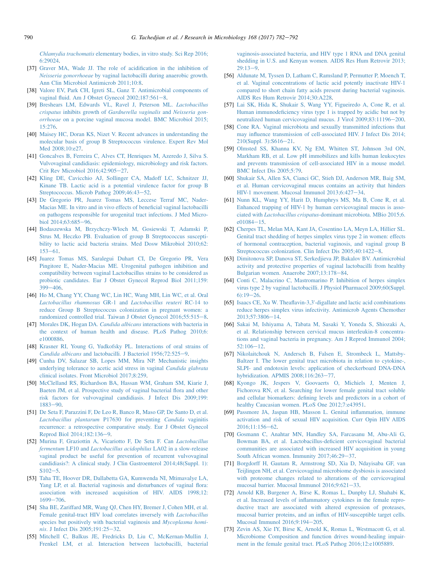<span id="page-8-0"></span>Chlamydia trachomatis [elementary bodies, in vitro study. Sci Rep 2016;](http://refhub.elsevier.com/S0923-2508(17)30083-9/sref36) [6:29024.](http://refhub.elsevier.com/S0923-2508(17)30083-9/sref36)

- [37] [Graver MA, Wade JJ. The role of acidification in the inhibition of](http://refhub.elsevier.com/S0923-2508(17)30083-9/sref37) Neisseria gonorrhoeae [by vaginal lactobacilli during anaerobic growth.](http://refhub.elsevier.com/S0923-2508(17)30083-9/sref37) [Ann Clin Microbiol Antimicrob 2011;10:8.](http://refhub.elsevier.com/S0923-2508(17)30083-9/sref37)
- [38] [Valore EV, Park CH, Igreti SL, Ganz T. Antimicrobial components of](http://refhub.elsevier.com/S0923-2508(17)30083-9/sref38) vaginal fluid. Am J Obstet Gynecol  $2002;187:561-8$ .
- [39] [Breshears LM, Edwards VL, Ravel J, Peterson ML.](http://refhub.elsevier.com/S0923-2508(17)30083-9/sref39) Lactobacillus crispatus inhibits growth of [Gardnerella vaginalis](http://refhub.elsevier.com/S0923-2508(17)30083-9/sref39) and Neisseria gonorrhoeae [on a porcine vaginal mucosa model. BMC Microbiol 2015;](http://refhub.elsevier.com/S0923-2508(17)30083-9/sref39) [15:276](http://refhub.elsevier.com/S0923-2508(17)30083-9/sref39).
- [40] [Maisey HC, Doran KS, Nizet V. Recent advances in understanding the](http://refhub.elsevier.com/S0923-2508(17)30083-9/sref40) [molecular basis of group B Streptococcus virulence. Expert Rev Mol](http://refhub.elsevier.com/S0923-2508(17)30083-9/sref40) [Med 2008;10:e27.](http://refhub.elsevier.com/S0923-2508(17)30083-9/sref40)
- [41] [Goncalves B, Ferreira C, Alves CT, Henriques M, Azeredo J, Silva S.](http://refhub.elsevier.com/S0923-2508(17)30083-9/sref41) [Vulvovaginal candidiasis: epidemiology, microbiology and risk factors.](http://refhub.elsevier.com/S0923-2508(17)30083-9/sref41) [Crit Rev Microbiol 2016;42:905](http://refhub.elsevier.com/S0923-2508(17)30083-9/sref41)-[27.](http://refhub.elsevier.com/S0923-2508(17)30083-9/sref41)
- [42] [Kling DE, Cavicchio AJ, Sollinger CA, Madoff LC, Schnitzer JJ,](http://refhub.elsevier.com/S0923-2508(17)30083-9/sref42) [Kinane TB. Lactic acid is a potential virulence factor for group B](http://refhub.elsevier.com/S0923-2508(17)30083-9/sref42) [Streptococcus. Microb Pathog 2009;46:43](http://refhub.elsevier.com/S0923-2508(17)30083-9/sref42)-[52](http://refhub.elsevier.com/S0923-2508(17)30083-9/sref42).
- [43] [De Gregorio PR, Juarez Tomas MS, Leccese Terraf MC, Nader-](http://refhub.elsevier.com/S0923-2508(17)30083-9/sref43)[Macias ME. In vitro and in vivo effects of beneficial vaginal lactobacilli](http://refhub.elsevier.com/S0923-2508(17)30083-9/sref43) [on pathogens responsible for urogenital tract infections. J Med Micro](http://refhub.elsevier.com/S0923-2508(17)30083-9/sref43)[biol 2014;63:685](http://refhub.elsevier.com/S0923-2508(17)30083-9/sref43)-[96](http://refhub.elsevier.com/S0923-2508(17)30083-9/sref43).
- [44] [Bodaszewska M, Brzychczy-Wloch M, Gosiewski T, Adamski P,](http://refhub.elsevier.com/S0923-2508(17)30083-9/sref44) [Strus M, Heczko PB. Evaluation of group B Streptococcus suscepti](http://refhub.elsevier.com/S0923-2508(17)30083-9/sref44)[bility to lactic acid bacteria strains. Med Dosw Mikrobiol 2010;62:](http://refhub.elsevier.com/S0923-2508(17)30083-9/sref44)  $153 - 61$  $153 - 61$ .
- [45] [Juarez Tomas MS, Saralegui Duhart CI, De Gregorio PR, Vera](http://refhub.elsevier.com/S0923-2508(17)30083-9/sref45) [Pingitore E, Nader-Macias ME. Urogenital pathogen inhibition and](http://refhub.elsevier.com/S0923-2508(17)30083-9/sref45) [compatibility between vaginal Lactobacillus strains to be considered as](http://refhub.elsevier.com/S0923-2508(17)30083-9/sref45) [probiotic candidates. Eur J Obstet Gynecol Reprod Biol 2011;159:](http://refhub.elsevier.com/S0923-2508(17)30083-9/sref45)  $399 - 406$  $399 - 406$
- [46] [Ho M, Chang YY, Chang WC, Lin HC, Wang MH, Lin WC, et al. Oral](http://refhub.elsevier.com/S0923-2508(17)30083-9/sref46) [Lactobacillus rhamnosus](http://refhub.elsevier.com/S0923-2508(17)30083-9/sref46) GR-1 and Lactobacillus reuteri RC-14 to [reduce Group B Streptococcus colonization in pregnant women: a](http://refhub.elsevier.com/S0923-2508(17)30083-9/sref46) [randomized controlled trial. Taiwan J Obstet Gynecol 2016;55:515](http://refhub.elsevier.com/S0923-2508(17)30083-9/sref46)-[8.](http://refhub.elsevier.com/S0923-2508(17)30083-9/sref46)
- [47] Morales DK, Hogan DA. Candida albicans [interactions with bacteria in](http://refhub.elsevier.com/S0923-2508(17)30083-9/sref47) [the context of human health and disease. PLoS Pathog 2010;6:](http://refhub.elsevier.com/S0923-2508(17)30083-9/sref47) [e1000886](http://refhub.elsevier.com/S0923-2508(17)30083-9/sref47).
- [48] [Krasner RI, Young G, Yudkofsky PL. Interactions of oral strains of](http://refhub.elsevier.com/S0923-2508(17)30083-9/sref48) Candida albicans [and lactobacilli. J Bacteriol 1956;72:525](http://refhub.elsevier.com/S0923-2508(17)30083-9/sref48)-[9.](http://refhub.elsevier.com/S0923-2508(17)30083-9/sref48)
- [49] [Cunha DV, Salazar SB, Lopes MM, Mira NP. Mechanistic insights](http://refhub.elsevier.com/S0923-2508(17)30083-9/sref49) [underlying tolerance to acetic acid stress in vaginal](http://refhub.elsevier.com/S0923-2508(17)30083-9/sref49) Candida glabrata [clinical isolates. Front Microbiol 2017;8:259](http://refhub.elsevier.com/S0923-2508(17)30083-9/sref49).
- [50] [McClelland RS, Richardson BA, Hassan WM, Graham SM, Kiarie J,](http://refhub.elsevier.com/S0923-2508(17)30083-9/sref50) [Baeten JM, et al. Prospective study of vaginal bacterial flora and other](http://refhub.elsevier.com/S0923-2508(17)30083-9/sref50) [risk factors for vulvovaginal candidiasis. J Infect Dis 2009;199:](http://refhub.elsevier.com/S0923-2508(17)30083-9/sref50)  $1883 - 90$  $1883 - 90$
- [51] [De Seta F, Parazzini F, De Leo R, Banco R, Maso GP, De Santo D, et al.](http://refhub.elsevier.com/S0923-2508(17)30083-9/sref51) [Lactobacillus plantarum](http://refhub.elsevier.com/S0923-2508(17)30083-9/sref51) P17630 for preventing Candida vaginitis [recurrence: a retrospective comparative study. Eur J Obstet Gynecol](http://refhub.elsevier.com/S0923-2508(17)30083-9/sref51) [Reprod Biol 2014;182:136](http://refhub.elsevier.com/S0923-2508(17)30083-9/sref51)-[9.](http://refhub.elsevier.com/S0923-2508(17)30083-9/sref51)
- [52] [Murina F, Graziottin A, Vicariotto F, De Seta F. Can](http://refhub.elsevier.com/S0923-2508(17)30083-9/sref52) Lactobacillus fermentum LF10 and [Lactobacillus acidophilus](http://refhub.elsevier.com/S0923-2508(17)30083-9/sref52) LA02 in a slow-release [vaginal product be useful for prevention of recurrent vulvovaginal](http://refhub.elsevier.com/S0923-2508(17)30083-9/sref52) [candidiasis?: A clinical study. J Clin Gastroenterol 2014;48\(Suppl. 1\):](http://refhub.elsevier.com/S0923-2508(17)30083-9/sref52)  $S102 - 5.$  $S102 - 5.$  $S102 - 5.$  $S102 - 5.$
- [53] [Taha TE, Hoover DR, Dallabetta GA, Kumwenda NI, Mtimavalye LA,](http://refhub.elsevier.com/S0923-2508(17)30083-9/sref53) [Yang LP, et al. Bacterial vaginosis and disturbances of vaginal flora:](http://refhub.elsevier.com/S0923-2508(17)30083-9/sref53) [association with increased acquisition of HIV. AIDS 1998;12:](http://refhub.elsevier.com/S0923-2508(17)30083-9/sref53) [1699](http://refhub.elsevier.com/S0923-2508(17)30083-9/sref53)-[706.](http://refhub.elsevier.com/S0923-2508(17)30083-9/sref53)
- [54] [Sha BE, Zariffard MR, Wang QJ, Chen HY, Bremer J, Cohen MH, et al.](http://refhub.elsevier.com/S0923-2508(17)30083-9/sref54) [Female genital-tract HIV load correlates inversely with](http://refhub.elsevier.com/S0923-2508(17)30083-9/sref54) Lactobacillus [species but positively with bacterial vaginosis and](http://refhub.elsevier.com/S0923-2508(17)30083-9/sref54) Mycoplasma homi-nis[. J Infect Dis 2005;191:25](http://refhub.elsevier.com/S0923-2508(17)30083-9/sref54)-[32.](http://refhub.elsevier.com/S0923-2508(17)30083-9/sref54)
- [55] [Mitchell C, Balkus JE, Fredricks D, Liu C, McKernan-Mullin J,](http://refhub.elsevier.com/S0923-2508(17)30083-9/sref55) [Frenkel LM, et al. Interaction between lactobacilli, bacterial](http://refhub.elsevier.com/S0923-2508(17)30083-9/sref55)

[vaginosis-associated bacteria, and HIV type 1 RNA and DNA genital](http://refhub.elsevier.com/S0923-2508(17)30083-9/sref55) [shedding in U.S. and Kenyan women. AIDS Res Hum Retrovir 2013;](http://refhub.elsevier.com/S0923-2508(17)30083-9/sref55)  $29:13-9.$  $29:13-9.$  $29:13-9.$  $29:13-9.$ 

- [56] [Aldunate M, Tyssen D, Latham C, Ramsland P, Permutter P, Moench T,](http://refhub.elsevier.com/S0923-2508(17)30083-9/sref56) [et al. Vaginal concentrations of lactic acid potently inactivate HIV-1](http://refhub.elsevier.com/S0923-2508(17)30083-9/sref56) [compared to short chain fatty acids present during bacterial vaginosis.](http://refhub.elsevier.com/S0923-2508(17)30083-9/sref56) [AIDS Res Hum Retrovir 2014;30:A228](http://refhub.elsevier.com/S0923-2508(17)30083-9/sref56).
- [57] [Lai SK, Hida K, Shukair S, Wang YY, Figueiredo A, Cone R, et al.](http://refhub.elsevier.com/S0923-2508(17)30083-9/sref57) [Human immunodeficiency virus type 1 is trapped by acidic but not by](http://refhub.elsevier.com/S0923-2508(17)30083-9/sref57) [neutralized human cervicovaginal mucus. J Virol 2009;83:11196](http://refhub.elsevier.com/S0923-2508(17)30083-9/sref57)-[200.](http://refhub.elsevier.com/S0923-2508(17)30083-9/sref57)
- [58] [Cone RA. Vaginal microbiota and sexually transmitted infections that](http://refhub.elsevier.com/S0923-2508(17)30083-9/sref58) [may influence transmission of cell-associated HIV. J Infect Dis 2014;](http://refhub.elsevier.com/S0923-2508(17)30083-9/sref58)  $210(Suppl. 3):S616-21.$  $210(Suppl. 3):S616-21.$  $210(Suppl. 3):S616-21.$
- [59] [Olmsted SS, Khanna KV, Ng EM, Whitten ST, Johnson 3rd ON,](http://refhub.elsevier.com/S0923-2508(17)30083-9/sref59) [Markham RB, et al. Low pH immobilizes and kills human leukocytes](http://refhub.elsevier.com/S0923-2508(17)30083-9/sref59) [and prevents transmission of cell-associated HIV in a mouse model.](http://refhub.elsevier.com/S0923-2508(17)30083-9/sref59) [BMC Infect Dis 2005;5:79](http://refhub.elsevier.com/S0923-2508(17)30083-9/sref59).
- [60] [Shukair SA, Allen SA, Cianci GC, Stieh DJ, Anderson MR, Baig SM,](http://refhub.elsevier.com/S0923-2508(17)30083-9/sref60) [et al. Human cervicovaginal mucus contains an activity that hinders](http://refhub.elsevier.com/S0923-2508(17)30083-9/sref60) HIV-1 movement. Mucosal Immunol  $2013:6:427-34$ .
- [61] [Nunn KL, Wang YY, Harit D, Humphrys MS, Ma B, Cone R, et al.](http://refhub.elsevier.com/S0923-2508(17)30083-9/sref61) [Enhanced trapping of HIV-1 by human cervicovaginal mucus is asso](http://refhub.elsevier.com/S0923-2508(17)30083-9/sref61)ciated with Lactobacillus crispatus[-dominant microbiota. MBio 2015;6.](http://refhub.elsevier.com/S0923-2508(17)30083-9/sref61)  $e^{01084-15}$  $e^{01084-15}$  $e^{01084-15}$ .
- [62] [Cherpes TL, Melan MA, Kant JA, Cosentino LA, Meyn LA, Hillier SL.](http://refhub.elsevier.com/S0923-2508(17)30083-9/sref62) [Genital tract shedding of herpes simplex virus type 2 in women: effects](http://refhub.elsevier.com/S0923-2508(17)30083-9/sref62) [of hormonal contraception, bacterial vaginosis, and vaginal group B](http://refhub.elsevier.com/S0923-2508(17)30083-9/sref62) [Streptococcus colonization. Clin Infect Dis 2005;40:1422](http://refhub.elsevier.com/S0923-2508(17)30083-9/sref62)-[8.](http://refhub.elsevier.com/S0923-2508(17)30083-9/sref62)
- [63] [Dimitonova SP, Danova ST, Serkedjieva JP, Bakalov BV. Antimicrobial](http://refhub.elsevier.com/S0923-2508(17)30083-9/sref63) [activity and protective properties of vaginal lactobacilli from healthy](http://refhub.elsevier.com/S0923-2508(17)30083-9/sref63) [Bulgarian women. Anaerobe 2007;13:178](http://refhub.elsevier.com/S0923-2508(17)30083-9/sref63)-[84.](http://refhub.elsevier.com/S0923-2508(17)30083-9/sref63)
- [64] [Conti C, Malacrino C, Mastromarino P. Inhibition of herpes simplex](http://refhub.elsevier.com/S0923-2508(17)30083-9/sref64) [virus type 2 by vaginal lactobacilli. J Physiol Pharmacol 2009;60\(Suppl.](http://refhub.elsevier.com/S0923-2508(17)30083-9/sref64)  $6:19-26.$  $6:19-26.$
- [65] Isaacs CE, Xu W. Theaflavin-3,3'[-digallate and lactic acid combinations](http://refhub.elsevier.com/S0923-2508(17)30083-9/sref65) [reduce herpes simplex virus infectivity. Antimicrob Agents Chemother](http://refhub.elsevier.com/S0923-2508(17)30083-9/sref65)  $2013:57:3806 - 14.$  $2013:57:3806 - 14.$  $2013:57:3806 - 14.$
- [66] [Sakai M, Ishiyama A, Tabata M, Sasaki Y, Yoneda S, Shiozaki A,](http://refhub.elsevier.com/S0923-2508(17)30083-9/sref66) [et al. Relationship between cervical mucus interleukin-8 concentra](http://refhub.elsevier.com/S0923-2508(17)30083-9/sref66)[tions and vaginal bacteria in pregnancy. Am J Reprod Immunol 2004;](http://refhub.elsevier.com/S0923-2508(17)30083-9/sref66)  $52:106 - 12.$  $52:106 - 12.$  $52:106 - 12.$  $52:106 - 12.$
- [67] [Nikolaitchouk N, Andersch B, Falsen E, Strombeck L, Mattsby-](http://refhub.elsevier.com/S0923-2508(17)30083-9/sref67)[Baltzer I. The lower genital tract microbiota in relation to cytokine-,](http://refhub.elsevier.com/S0923-2508(17)30083-9/sref67) [SLPI- and endotoxin levels: application of checkerboard DNA-DNA](http://refhub.elsevier.com/S0923-2508(17)30083-9/sref67) [hybridization. APMIS 2008;116:263](http://refhub.elsevier.com/S0923-2508(17)30083-9/sref67)-[77](http://refhub.elsevier.com/S0923-2508(17)30083-9/sref67).
- [68] [Kyongo JK, Jespers V, Goovaerts O, Michiels J, Menten J,](http://refhub.elsevier.com/S0923-2508(17)30083-9/sref68) [Fichorova RN, et al. Searching for lower female genital tract soluble](http://refhub.elsevier.com/S0923-2508(17)30083-9/sref68) [and cellular biomarkers: defining levels and predictors in a cohort of](http://refhub.elsevier.com/S0923-2508(17)30083-9/sref68) [healthy Caucasian women. PLoS One 2012;7:e43951.](http://refhub.elsevier.com/S0923-2508(17)30083-9/sref68)
- [69] [Passmore JA, Jaspan HB, Masson L. Genital inflammation, immune](http://refhub.elsevier.com/S0923-2508(17)30083-9/sref69) [activation and risk of sexual HIV acquisition. Curr Opin HIV AIDS](http://refhub.elsevier.com/S0923-2508(17)30083-9/sref69) [2016;11:156](http://refhub.elsevier.com/S0923-2508(17)30083-9/sref69)-[62](http://refhub.elsevier.com/S0923-2508(17)30083-9/sref69).
- [70] [Gosmann C, Anahtar MN, Handley SA, Farcasanu M, Abu-Ali G,](http://refhub.elsevier.com/S0923-2508(17)30083-9/sref70) [Bowman BA, et al. Lactobacillus-deficient cervicovaginal bacterial](http://refhub.elsevier.com/S0923-2508(17)30083-9/sref70) [communities are associated with increased HIV acquisition in young](http://refhub.elsevier.com/S0923-2508(17)30083-9/sref70) South African women. Immunity  $2017;46:29-37$  $2017;46:29-37$ .
- [71] [Borgdorff H, Gautam R, Armstrong SD, Xia D, Ndayisaba GF, van](http://refhub.elsevier.com/S0923-2508(17)30083-9/sref71) [Teijlingen NH, et al. Cervicovaginal microbiome dysbiosis is associated](http://refhub.elsevier.com/S0923-2508(17)30083-9/sref71) [with proteome changes related to alterations of the cervicovaginal](http://refhub.elsevier.com/S0923-2508(17)30083-9/sref71) mucosal barrier. Mucosal Immunol  $2016;9:621-33$ .
- [72] [Arnold KB, Burgener A, Birse K, Romas L, Dunphy LJ, Shahabi K,](http://refhub.elsevier.com/S0923-2508(17)30083-9/sref72) [et al. Increased levels of inflammatory cytokines in the female repro](http://refhub.elsevier.com/S0923-2508(17)30083-9/sref72)[ductive tract are associated with altered expression of proteases,](http://refhub.elsevier.com/S0923-2508(17)30083-9/sref72) [mucosal barrier proteins, and an influx of HIV-susceptible target cells.](http://refhub.elsevier.com/S0923-2508(17)30083-9/sref72) [Mucosal Immunol 2016;9:194](http://refhub.elsevier.com/S0923-2508(17)30083-9/sref72)-[205.](http://refhub.elsevier.com/S0923-2508(17)30083-9/sref72)
- [73] [Zevin AS, Xie IY, Birse K, Arnold K, Romas L, Westmacott G, et al.](http://refhub.elsevier.com/S0923-2508(17)30083-9/sref73) [Microbiome Composition and function drives wound-healing impair](http://refhub.elsevier.com/S0923-2508(17)30083-9/sref73)[ment in the female genital tract. PLoS Pathog 2016;12:e1005889](http://refhub.elsevier.com/S0923-2508(17)30083-9/sref73).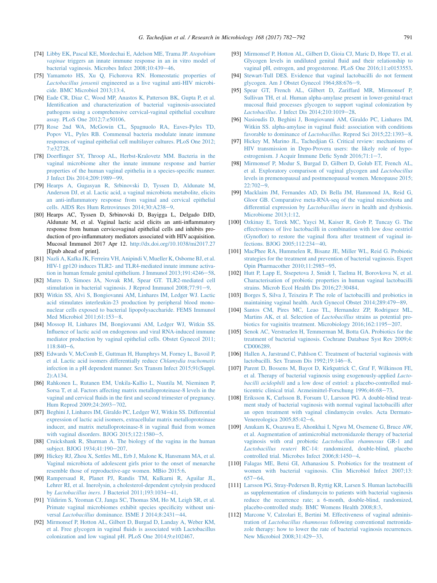- <span id="page-9-0"></span>[74] [Libby EK, Pascal KE, Mordechai E, Adelson ME, Trama JP.](http://refhub.elsevier.com/S0923-2508(17)30083-9/sref74) Atopobium vaginae [triggers an innate immune response in an in vitro model of](http://refhub.elsevier.com/S0923-2508(17)30083-9/sref74) bacterial vaginosis. Microbes Infect 2008:10:439-[46.](http://refhub.elsevier.com/S0923-2508(17)30083-9/sref74)
- [75] [Yamamoto HS, Xu Q, Fichorova RN. Homeostatic properties of](http://refhub.elsevier.com/S0923-2508(17)30083-9/sref75) Lactobacillus jensenii [engineered as a live vaginal anti-HIV microbi](http://refhub.elsevier.com/S0923-2508(17)30083-9/sref75)[cide. BMC Microbiol 2013;13:4.](http://refhub.elsevier.com/S0923-2508(17)30083-9/sref75)
- [76] [Eade CR, Diaz C, Wood MP, Anastos K, Patterson BK, Gupta P, et al.](http://refhub.elsevier.com/S0923-2508(17)30083-9/sref76) [Identification and characterization of bacterial vaginosis-associated](http://refhub.elsevier.com/S0923-2508(17)30083-9/sref76) [pathogens using a comprehensive cervical-vaginal epithelial coculture](http://refhub.elsevier.com/S0923-2508(17)30083-9/sref76) [assay. PLoS One 2012;7:e50106](http://refhub.elsevier.com/S0923-2508(17)30083-9/sref76).
- [77] [Rose 2nd WA, McGowin CL, Spagnuolo RA, Eaves-Pyles TD,](http://refhub.elsevier.com/S0923-2508(17)30083-9/sref77) [Popov VL, Pyles RB. Commensal bacteria modulate innate immune](http://refhub.elsevier.com/S0923-2508(17)30083-9/sref77) [responses of vaginal epithelial cell multilayer cultures. PLoS One 2012;](http://refhub.elsevier.com/S0923-2508(17)30083-9/sref77) [7:e32728](http://refhub.elsevier.com/S0923-2508(17)30083-9/sref77).
- [78] [Doerflinger SY, Throop AL, Herbst-Kralovetz MM. Bacteria in the](http://refhub.elsevier.com/S0923-2508(17)30083-9/sref78) [vaginal microbiome alter the innate immune response and barrier](http://refhub.elsevier.com/S0923-2508(17)30083-9/sref78) [properties of the human vaginal epithelia in a species-specific manner.](http://refhub.elsevier.com/S0923-2508(17)30083-9/sref78) [J Infect Dis 2014;209:1989](http://refhub.elsevier.com/S0923-2508(17)30083-9/sref78)-[99](http://refhub.elsevier.com/S0923-2508(17)30083-9/sref78).
- [79] [Hearps A, Gugasyan R, Srbinovski D, Tyssen D, Aldunate M,](http://refhub.elsevier.com/S0923-2508(17)30083-9/sref79) [Anderson DJ, et al. Lactic acid, a vaginal microbiota metabolite, elicits](http://refhub.elsevier.com/S0923-2508(17)30083-9/sref79) [an anti-inflammatory response from vaginal and cervical epithelial](http://refhub.elsevier.com/S0923-2508(17)30083-9/sref79) [cells. AIDS Res Hum Retroviruses 2014;30:A238](http://refhub.elsevier.com/S0923-2508(17)30083-9/sref79)-[9.](http://refhub.elsevier.com/S0923-2508(17)30083-9/sref79)
- [80] Hearps AC, Tyssen D, Srbinovski D, Bayigga L, Delgado DJD, Aldunate M, et al. Vaginal lactic acid elicits an anti-inflammatory response from human cervicovaginal epithelial cells and inhibits production of pro-inflammatory mediators associated with HIV acquisition. Mucosal Immunol 2017 Apr 12. <http://dx.doi.org/10.1038/mi2017.27> [Epub ahead of print].
- [81] [Nazli A, Kafka JK, Ferreira VH, Anipindi V, Mueller K, Osborne BJ, et al.](http://refhub.elsevier.com/S0923-2508(17)30083-9/sref81) [HIV-1 gp120 induces TLR2- and TLR4-mediated innate immune activa](http://refhub.elsevier.com/S0923-2508(17)30083-9/sref81)[tion in human female genital epithelium. J Immunol 2013;191:4246](http://refhub.elsevier.com/S0923-2508(17)30083-9/sref81)-[58.](http://refhub.elsevier.com/S0923-2508(17)30083-9/sref81)
- [82] [Mares D, Simoes JA, Novak RM, Spear GT. TLR2-mediated cell](http://refhub.elsevier.com/S0923-2508(17)30083-9/sref82) stimulation in bacterial vaginosis. J Reprod Immunol  $2008;77:91-9$ .
- [83] [Witkin SS, Alvi S, Bongiovanni AM, Linhares IM, Ledger WJ. Lactic](http://refhub.elsevier.com/S0923-2508(17)30083-9/sref83) [acid stimulates interleukin-23 production by peripheral blood mono](http://refhub.elsevier.com/S0923-2508(17)30083-9/sref83)[nuclear cells exposed to bacterial lipopolysaccharide. FEMS Immunol](http://refhub.elsevier.com/S0923-2508(17)30083-9/sref83) Med Microbiol  $2011:61:153-8$ .
- [84] [Mossop H, Linhares IM, Bongiovanni AM, Ledger WJ, Witkin SS.](http://refhub.elsevier.com/S0923-2508(17)30083-9/sref84) [Influence of lactic acid on endogenous and viral RNA-induced immune](http://refhub.elsevier.com/S0923-2508(17)30083-9/sref84) [mediator production by vaginal epithelial cells. Obstet Gynecol 2011;](http://refhub.elsevier.com/S0923-2508(17)30083-9/sref84)  $118:840-6.$  $118:840-6.$  $118:840-6.$
- [85] [Edwards V, McComb E, Guttman H, Humphrys M, Forney L, Bavoil P,](http://refhub.elsevier.com/S0923-2508(17)30083-9/sref85) [et al. Lactic acid isomers differentially reduce](http://refhub.elsevier.com/S0923-2508(17)30083-9/sref85) Chlamydia trachomatis [infection in a pH dependent manner. Sex Transm Infect 2015;91\(Suppl.](http://refhub.elsevier.com/S0923-2508(17)30083-9/sref85)  $2)$ : A134.
- [86] [Rahkonen L, Rutanen EM, Unkila-Kallio L, Nuutila M, Nieminen P,](http://refhub.elsevier.com/S0923-2508(17)30083-9/sref86) [Sorsa T, et al. Factors affecting matrix metalloproteinase-8 levels in the](http://refhub.elsevier.com/S0923-2508(17)30083-9/sref86) [vaginal and cervical fluids in the first and second trimester of pregnancy.](http://refhub.elsevier.com/S0923-2508(17)30083-9/sref86) [Hum Reprod 2009;24:2693](http://refhub.elsevier.com/S0923-2508(17)30083-9/sref86)-[702](http://refhub.elsevier.com/S0923-2508(17)30083-9/sref86).
- [87] [Beghini J, Linhares IM, Giraldo PC, Ledger WJ, Witkin SS. Differential](http://refhub.elsevier.com/S0923-2508(17)30083-9/sref87) [expression of lactic acid isomers, extracellular matrix metalloproteinase](http://refhub.elsevier.com/S0923-2508(17)30083-9/sref87) [inducer, and matrix metalloproteinase-8 in vaginal fluid from women](http://refhub.elsevier.com/S0923-2508(17)30083-9/sref87) with vaginal disorders. BJOG  $2015;122:1580-5$ .
- [88] [Cruickshank R, Sharman A. The biology of the vagina in the human](http://refhub.elsevier.com/S0923-2508(17)30083-9/sref88) [subject. BJOG 1934;41:190](http://refhub.elsevier.com/S0923-2508(17)30083-9/sref88)-[207](http://refhub.elsevier.com/S0923-2508(17)30083-9/sref88).
- [89] [Hickey RJ, Zhou X, Settles ML, Erb J, Malone K, Hansmann MA, et al.](http://refhub.elsevier.com/S0923-2508(17)30083-9/sref89) [Vaginal microbiota of adolescent girls prior to the onset of menarche](http://refhub.elsevier.com/S0923-2508(17)30083-9/sref89) [resemble those of reproductive-age women. MBio 2015:6.](http://refhub.elsevier.com/S0923-2508(17)30083-9/sref89)
- [90] [Rampersaud R, Planet PJ, Randis TM, Kulkarni R, Aguilar JL,](http://refhub.elsevier.com/S0923-2508(17)30083-9/sref90) [Lehrer RI, et al. Inerolysin, a cholesterol-dependent cytolysin produced](http://refhub.elsevier.com/S0923-2508(17)30083-9/sref90) by Lactobacillus iners[. J Bacteriol 2011;193:1034](http://refhub.elsevier.com/S0923-2508(17)30083-9/sref90)-[41.](http://refhub.elsevier.com/S0923-2508(17)30083-9/sref90)
- [91] [Yildirim S, Yeoman CJ, Janga SC, Thomas SM, Ho M, Leigh SR, et al.](http://refhub.elsevier.com/S0923-2508(17)30083-9/sref91) [Primate vaginal microbiomes exhibit species specificity without uni](http://refhub.elsevier.com/S0923-2508(17)30083-9/sref91)versal Lactobacillus [dominance. ISME J 2014;8:2431](http://refhub.elsevier.com/S0923-2508(17)30083-9/sref91)-[44.](http://refhub.elsevier.com/S0923-2508(17)30083-9/sref91)
- [92] [Mirmonsef P, Hotton AL, Gilbert D, Burgad D, Landay A, Weber KM,](http://refhub.elsevier.com/S0923-2508(17)30083-9/sref92) [et al. Free glycogen in vaginal fluids is associated with Lactobacillus](http://refhub.elsevier.com/S0923-2508(17)30083-9/sref92) [colonization and low vaginal pH. PLoS One 2014;9:e102467.](http://refhub.elsevier.com/S0923-2508(17)30083-9/sref92)
- [93] [Mirmonsef P, Hotton AL, Gilbert D, Gioia CJ, Maric D, Hope TJ, et al.](http://refhub.elsevier.com/S0923-2508(17)30083-9/sref93) [Glycogen levels in undiluted genital fluid and their relationship to](http://refhub.elsevier.com/S0923-2508(17)30083-9/sref93) [vaginal pH, estrogen, and progesterone. PLoS One 2016;11:e0153553.](http://refhub.elsevier.com/S0923-2508(17)30083-9/sref93)
- [94] [Stewart-Tull DES. Evidence that vaginal lactobacilli do not ferment](http://refhub.elsevier.com/S0923-2508(17)30083-9/sref94) glycogen. Am J Obstet Gynecol  $1964;88:676-9$  $1964;88:676-9$  $1964;88:676-9$ .
- [95] [Spear GT, French AL, Gilbert D, Zariffard MR, Mirmonsef P,](http://refhub.elsevier.com/S0923-2508(17)30083-9/sref95) [Sullivan TH, et al. Human alpha-amylase present in lower-genital-tract](http://refhub.elsevier.com/S0923-2508(17)30083-9/sref95) [mucosal fluid processes glycogen to support vaginal colonization by](http://refhub.elsevier.com/S0923-2508(17)30083-9/sref95) Lactobacillus[. J Infect Dis 2014;210:1019](http://refhub.elsevier.com/S0923-2508(17)30083-9/sref95)-[28](http://refhub.elsevier.com/S0923-2508(17)30083-9/sref95).
- [96] [Nasioudis D, Beghini J, Bongiovanni AM, Giraldo PC, Linhares IM,](http://refhub.elsevier.com/S0923-2508(17)30083-9/sref96) [Witkin SS. alpha-amylase in vaginal fluid: association with conditions](http://refhub.elsevier.com/S0923-2508(17)30083-9/sref96) favorable to dominance of *Lactobacillus*[. Reprod Sci 2015;22:1393](http://refhub.elsevier.com/S0923-2508(17)30083-9/sref96)-[8.](http://refhub.elsevier.com/S0923-2508(17)30083-9/sref96)
- [97] [Hickey M, Marino JL, Tachedjian G. Critical review: mechanisms of](http://refhub.elsevier.com/S0923-2508(17)30083-9/sref97) [HIV transmission in Depo-Provera users: the likely role of hypo](http://refhub.elsevier.com/S0923-2508(17)30083-9/sref97)estrogenism. J Acquir Immune Defic Syndr  $2016;71:1-7$ .
- [98] [Mirmonsef P, Modur S, Burgad D, Gilbert D, Golub ET, French AL,](http://refhub.elsevier.com/S0923-2508(17)30083-9/sref98) [et al. Exploratory comparison of vaginal glycogen and](http://refhub.elsevier.com/S0923-2508(17)30083-9/sref98) Lactobacillus [levels in premenopausal and postmenopausal women. Menopause 2015;](http://refhub.elsevier.com/S0923-2508(17)30083-9/sref98)  $22.702 - 9$
- [99] [Macklaim JM, Fernandes AD, Di Bella JM, Hammond JA, Reid G,](http://refhub.elsevier.com/S0923-2508(17)30083-9/sref99) [Gloor GB. Comparative meta-RNA-seq of the vaginal microbiota and](http://refhub.elsevier.com/S0923-2508(17)30083-9/sref99) [differential expression by](http://refhub.elsevier.com/S0923-2508(17)30083-9/sref99) Lactobacillus iners in health and dysbiosis. [Microbiome 2013;1:12](http://refhub.elsevier.com/S0923-2508(17)30083-9/sref99).
- [100] [Ozkinay E, Terek MC, Yayci M, Kaiser R, Grob P, Tuncay G. The](http://refhub.elsevier.com/S0923-2508(17)30083-9/sref100) [effectiveness of live lactobacilli in combination with low dose oestriol](http://refhub.elsevier.com/S0923-2508(17)30083-9/sref100) [\(Gynoflor\) to restore the vaginal flora after treatment of vaginal in](http://refhub.elsevier.com/S0923-2508(17)30083-9/sref100)[fections. BJOG 2005;112:234](http://refhub.elsevier.com/S0923-2508(17)30083-9/sref100)-[40](http://refhub.elsevier.com/S0923-2508(17)30083-9/sref100).
- [101] [MacPhee RA, Hummelen R, Bisanz JE, Miller WL, Reid G. Probiotic](http://refhub.elsevier.com/S0923-2508(17)30083-9/sref101) [strategies for the treatment and prevention of bacterial vaginosis. Expert](http://refhub.elsevier.com/S0923-2508(17)30083-9/sref101) [Opin Pharmacother 2010;11:2985](http://refhub.elsevier.com/S0923-2508(17)30083-9/sref101)-[95](http://refhub.elsevier.com/S0923-2508(17)30083-9/sref101).
- [102] [Hutt P, Lapp E, Stsepetova J, Smidt I, Taelma H, Borovkova N, et al.](http://refhub.elsevier.com/S0923-2508(17)30083-9/sref102) [Characterisation of probiotic properties in human vaginal lactobacilli](http://refhub.elsevier.com/S0923-2508(17)30083-9/sref102) [strains. Microb Ecol Health Dis 2016;27:30484](http://refhub.elsevier.com/S0923-2508(17)30083-9/sref102).
- [103] [Borges S, Silva J, Teixeira P. The role of lactobacilli and probiotics in](http://refhub.elsevier.com/S0923-2508(17)30083-9/sref103) [maintaining vaginal health. Arch Gynecol Obstet 2014;289:479](http://refhub.elsevier.com/S0923-2508(17)30083-9/sref103)-[89](http://refhub.elsevier.com/S0923-2508(17)30083-9/sref103).
- [104] [Santos CM, Pires MC, Leao TL, Hernandez ZP, Rodriguez ML,](http://refhub.elsevier.com/S0923-2508(17)30083-9/sref104) [Martins AK, et al. Selection of](http://refhub.elsevier.com/S0923-2508(17)30083-9/sref104) Lactobacillus strains as potential probiotics for vaginitis treatment. Microbiology  $2016;162:1195-207$ .
- [105] [Senok AC, Verstraelen H, Temmerman M, Botta GA. Probiotics for the](http://refhub.elsevier.com/S0923-2508(17)30083-9/sref105) [treatment of bacterial vaginosis. Cochrane Database Syst Rev 2009;4:](http://refhub.elsevier.com/S0923-2508(17)30083-9/sref105) [CD006289.](http://refhub.elsevier.com/S0923-2508(17)30083-9/sref105)
- [106] [Hallen A, Jarstrand C, Pahlson C. Treatment of bacterial vaginosis with](http://refhub.elsevier.com/S0923-2508(17)30083-9/sref106) lactobacilli. Sex Transm Dis  $1992;19:146-8$  $1992;19:146-8$ .
- [107] [Parent D, Bossens M, Bayot D, Kirkpatrick C, Graf F, Wilkinson FE,](http://refhub.elsevier.com/S0923-2508(17)30083-9/sref107) [et al. Therapy of bacterial vaginosis using exogenously-applied](http://refhub.elsevier.com/S0923-2508(17)30083-9/sref107) Lactobacilli acidophili [and a low dose of estriol: a placebo-controlled mul](http://refhub.elsevier.com/S0923-2508(17)30083-9/sref107)[ticentric clinical trial. Arzneimittel-Forschung 1996;46:68](http://refhub.elsevier.com/S0923-2508(17)30083-9/sref107)-[73.](http://refhub.elsevier.com/S0923-2508(17)30083-9/sref107)
- [108] [Eriksson K, Carlsson B, Forsum U, Larsson PG. A double-blind treat](http://refhub.elsevier.com/S0923-2508(17)30083-9/sref108)[ment study of bacterial vaginosis with normal vaginal lactobacilli after](http://refhub.elsevier.com/S0923-2508(17)30083-9/sref108) [an open treatment with vaginal clindamycin ovules. Acta Dermato-](http://refhub.elsevier.com/S0923-2508(17)30083-9/sref108)Venereologica  $2005;85:42-6$  $2005;85:42-6$ .
- [109] [Anukam K, Osazuwa E, Ahonkhai I, Ngwu M, Osemene G, Bruce AW,](http://refhub.elsevier.com/S0923-2508(17)30083-9/sref109) [et al. Augmentation of antimicrobial metronidazole therapy of bacterial](http://refhub.elsevier.com/S0923-2508(17)30083-9/sref109) [vaginosis with oral probiotic](http://refhub.elsevier.com/S0923-2508(17)30083-9/sref109) Lactobacillus rhamnosus GR-1 and Lactobacillus reuteri [RC-14: randomized, double-blind, placebo](http://refhub.elsevier.com/S0923-2508(17)30083-9/sref109) controlled trial. Microbes Infect  $2006;8:1450-4$  $2006;8:1450-4$  $2006;8:1450-4$ .
- [110] [Falagas ME, Betsi GI, Athanasiou S. Probiotics for the treatment of](http://refhub.elsevier.com/S0923-2508(17)30083-9/sref110) [women with bacterial vaginosis. Clin Microbiol Infect 2007;13:](http://refhub.elsevier.com/S0923-2508(17)30083-9/sref110)  $657 - 64.$  $657 - 64.$  $657 - 64.$
- [111] [Larsson PG, Stray-Pedersen B, Ryttig KR, Larsen S. Human lactobacilli](http://refhub.elsevier.com/S0923-2508(17)30083-9/sref111) [as supplementation of clindamycin to patients with bacterial vaginosis](http://refhub.elsevier.com/S0923-2508(17)30083-9/sref111) [reduce the recurrence rate; a 6-month, double-blind, randomized,](http://refhub.elsevier.com/S0923-2508(17)30083-9/sref111) [placebo-controlled study. BMC Womens Health 2008;8:3.](http://refhub.elsevier.com/S0923-2508(17)30083-9/sref111)
- [112] [Marcone V, Calzolari E, Bertini M. Effectiveness of vaginal adminis](http://refhub.elsevier.com/S0923-2508(17)30083-9/sref112)tration of Lactobacillus rhamnosus [following conventional metronida](http://refhub.elsevier.com/S0923-2508(17)30083-9/sref112)[zole therapy: how to lower the rate of bacterial vaginosis recurrences.](http://refhub.elsevier.com/S0923-2508(17)30083-9/sref112) [New Microbiol 2008;31:429](http://refhub.elsevier.com/S0923-2508(17)30083-9/sref112)-[33.](http://refhub.elsevier.com/S0923-2508(17)30083-9/sref112)